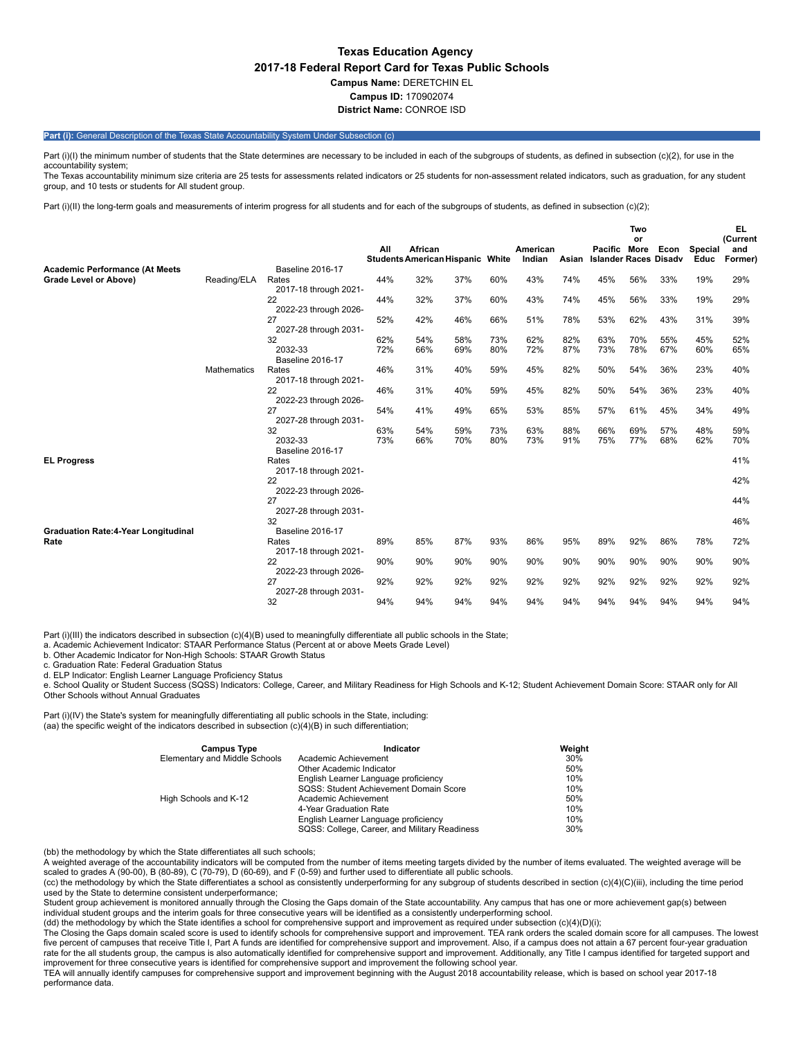## **Texas Education Agency 2017-18 Federal Report Card for Texas Public Schools Campus Name:** DERETCHIN EL **Campus ID:** 170902074 **District Name:** CONROE ISD

### Part (i): General Description of the Texas State Accountability System Under Subsection (c)

Part (i)(I) the minimum number of students that the State determines are necessary to be included in each of the subgroups of students, as defined in subsection (c)(2), for use in the accountability system; The Texas accountability minimum size criteria are 25 tests for assessments related indicators or 25 students for non-assessment related indicators, such as graduation, for any student

group, and 10 tests or students for All student group.

Part (i)(II) the long-term goals and measurements of interim progress for all students and for each of the subgroups of students, as defined in subsection (c)(2);

|                                            |                    |                                |     |                                         |     |     |          |       |                              | Two |      |         | EL              |
|--------------------------------------------|--------------------|--------------------------------|-----|-----------------------------------------|-----|-----|----------|-------|------------------------------|-----|------|---------|-----------------|
|                                            |                    |                                | All | African                                 |     |     | American |       | Pacific More                 | or  | Econ | Special | (Current<br>and |
|                                            |                    |                                |     | <b>Students American Hispanic White</b> |     |     | Indian   | Asian | <b>Islander Races Disadv</b> |     |      | Educ    | Former)         |
| <b>Academic Performance (At Meets</b>      |                    | <b>Baseline 2016-17</b>        |     |                                         |     |     |          |       |                              |     |      |         |                 |
| Grade Level or Above)                      | Reading/ELA        | Rates                          | 44% | 32%                                     | 37% | 60% | 43%      | 74%   | 45%                          | 56% | 33%  | 19%     | 29%             |
|                                            |                    | 2017-18 through 2021-          |     |                                         |     |     |          |       |                              |     |      |         |                 |
|                                            |                    | 22                             | 44% | 32%                                     | 37% | 60% | 43%      | 74%   | 45%                          | 56% | 33%  | 19%     | 29%             |
|                                            |                    | 2022-23 through 2026-<br>27    | 52% | 42%                                     | 46% | 66% | 51%      | 78%   | 53%                          | 62% | 43%  | 31%     | 39%             |
|                                            |                    | 2027-28 through 2031-          |     |                                         |     |     |          |       |                              |     |      |         |                 |
|                                            |                    | 32                             | 62% | 54%                                     | 58% | 73% | 62%      | 82%   | 63%                          | 70% | 55%  | 45%     | 52%             |
|                                            |                    | 2032-33                        | 72% | 66%                                     | 69% | 80% | 72%      | 87%   | 73%                          | 78% | 67%  | 60%     | 65%             |
|                                            |                    | <b>Baseline 2016-17</b>        |     |                                         |     |     |          |       |                              |     |      |         |                 |
|                                            | <b>Mathematics</b> | Rates                          | 46% | 31%                                     | 40% | 59% | 45%      | 82%   | 50%                          | 54% | 36%  | 23%     | 40%             |
|                                            |                    | 2017-18 through 2021-<br>22    | 46% | 31%                                     |     | 59% | 45%      |       |                              |     |      |         |                 |
|                                            |                    | 2022-23 through 2026-          |     |                                         | 40% |     |          | 82%   | 50%                          | 54% | 36%  | 23%     | 40%             |
|                                            |                    | 27                             | 54% | 41%                                     | 49% | 65% | 53%      | 85%   | 57%                          | 61% | 45%  | 34%     | 49%             |
|                                            |                    | 2027-28 through 2031-          |     |                                         |     |     |          |       |                              |     |      |         |                 |
|                                            |                    | 32                             | 63% | 54%                                     | 59% | 73% | 63%      | 88%   | 66%                          | 69% | 57%  | 48%     | 59%             |
|                                            |                    | 2032-33                        | 73% | 66%                                     | 70% | 80% | 73%      | 91%   | 75%                          | 77% | 68%  | 62%     | 70%             |
|                                            |                    | <b>Baseline 2016-17</b>        |     |                                         |     |     |          |       |                              |     |      |         |                 |
| <b>EL Progress</b>                         |                    | Rates<br>2017-18 through 2021- |     |                                         |     |     |          |       |                              |     |      |         | 41%             |
|                                            |                    | 22                             |     |                                         |     |     |          |       |                              |     |      |         | 42%             |
|                                            |                    | 2022-23 through 2026-          |     |                                         |     |     |          |       |                              |     |      |         |                 |
|                                            |                    | 27                             |     |                                         |     |     |          |       |                              |     |      |         | 44%             |
|                                            |                    | 2027-28 through 2031-          |     |                                         |     |     |          |       |                              |     |      |         |                 |
|                                            |                    | 32                             |     |                                         |     |     |          |       |                              |     |      |         | 46%             |
| <b>Graduation Rate:4-Year Longitudinal</b> |                    | <b>Baseline 2016-17</b>        |     |                                         | 87% |     |          |       |                              |     |      |         |                 |
| Rate                                       |                    | Rates<br>2017-18 through 2021- | 89% | 85%                                     |     | 93% | 86%      | 95%   | 89%                          | 92% | 86%  | 78%     | 72%             |
|                                            |                    | 22                             | 90% | 90%                                     | 90% | 90% | 90%      | 90%   | 90%                          | 90% | 90%  | 90%     | 90%             |
|                                            |                    | 2022-23 through 2026-          |     |                                         |     |     |          |       |                              |     |      |         |                 |
|                                            |                    | 27                             | 92% | 92%                                     | 92% | 92% | 92%      | 92%   | 92%                          | 92% | 92%  | 92%     | 92%             |
|                                            |                    | 2027-28 through 2031-          |     |                                         |     |     |          |       |                              |     |      |         |                 |
|                                            |                    | 32                             | 94% | 94%                                     | 94% | 94% | 94%      | 94%   | 94%                          | 94% | 94%  | 94%     | 94%             |

Part (i)(III) the indicators described in subsection (c)(4)(B) used to meaningfully differentiate all public schools in the State;

a. Academic Achievement Indicator: STAAR Performance Status (Percent at or above Meets Grade Level)

b. Other Academic Indicator for Non-High Schools: STAAR Growth Status

c. Graduation Rate: Federal Graduation Status

d. ELP Indicator: English Learner Language Proficiency Status

e. School Quality or Student Success (SQSS) Indicators: College, Career, and Military Readiness for High Schools and K-12; Student Achievement Domain Score: STAAR only for All Other Schools without Annual Graduates

Part (i)(IV) the State's system for meaningfully differentiating all public schools in the State, including: (aa) the specific weight of the indicators described in subsection (c)(4)(B) in such differentiation;

| <b>Campus Type</b>            | Indicator                                     | Weight |
|-------------------------------|-----------------------------------------------|--------|
| Elementary and Middle Schools | Academic Achievement                          | 30%    |
|                               | Other Academic Indicator                      | 50%    |
|                               | English Learner Language proficiency          | 10%    |
|                               | SQSS: Student Achievement Domain Score        | 10%    |
| High Schools and K-12         | Academic Achievement                          | 50%    |
|                               | 4-Year Graduation Rate                        | 10%    |
|                               | English Learner Language proficiency          | 10%    |
|                               | SQSS: College, Career, and Military Readiness | 30%    |

(bb) the methodology by which the State differentiates all such schools;

A weighted average of the accountability indicators will be computed from the number of items meeting targets divided by the number of items evaluated. The weighted average will be

scaled to grades A (90-00), B (80-89), C (70-79), D (60-69), and F (0-59) and further used to differentiate all public schools. (cc) the methodology by which the State differentiates a school as consistently underperforming for any subgroup of students described in section (c)(4)(C)(iii), including the time period used by the State to determine consistent underperformance;

Student group achievement is monitored annually through the Closing the Gaps domain of the State accountability. Any campus that has one or more achievement gap(s) between individual student groups and the interim goals for three consecutive years will be identified as a consistently underperforming school.

(dd) the methodology by which the State identifies a school for comprehensive support and improvement as required under subsection (c)(4)(D)(i);

The Closing the Gaps domain scaled score is used to identify schools for comprehensive support and improvement. TEA rank orders the scaled domain score for all campuses. The lowest five percent of campuses that receive Title I, Part A funds are identified for comprehensive support and improvement. Also, if a campus does not attain a 67 percent four-year graduation rate for the all students group, the campus is also automatically identified for comprehensive support and improvement. Additionally, any Title I campus identified for targeted support and improvement for three consecutive years is identified for comprehensive support and improvement the following school year.

TEA will annually identify campuses for comprehensive support and improvement beginning with the August 2018 accountability release, which is based on school year 2017-18 performance data.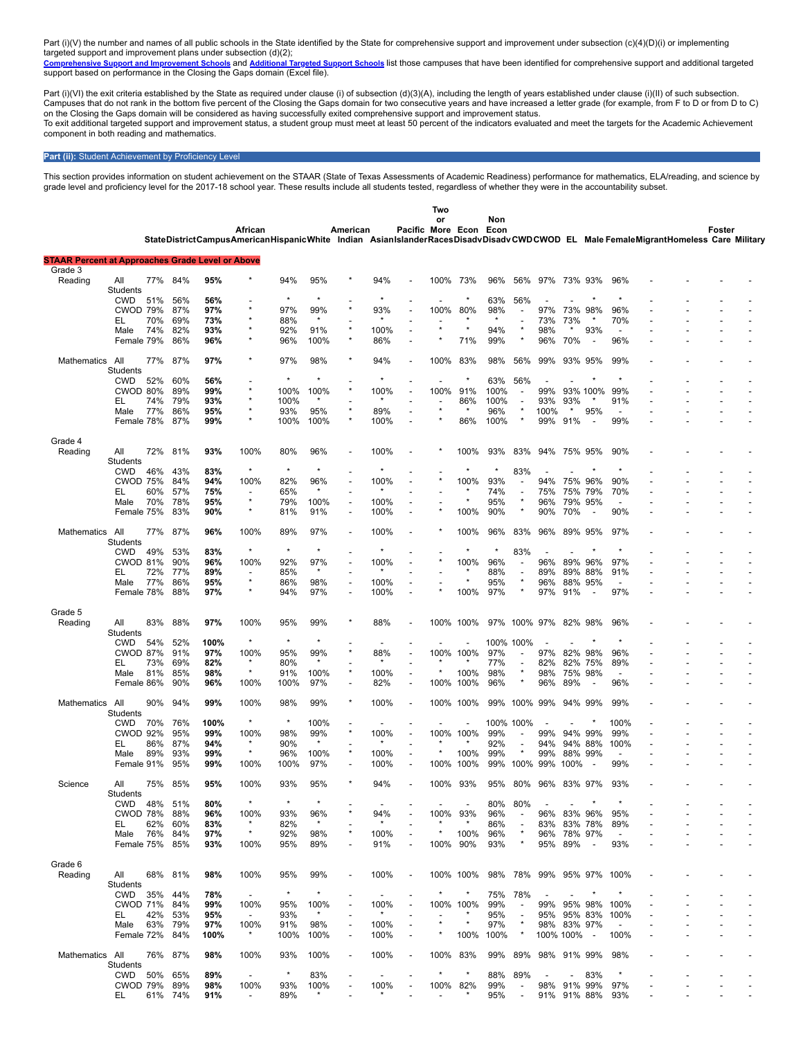Part (i)(V) the number and names of all public schools in the State identified by the State for comprehensive support and improvement under subsection (c)(4)(D)(i) or implementing

targeted support and improvement plans under subsection (d)(2);<br><mark>[Comprehensive](https://tea.texas.gov/WorkArea/DownloadAsset.aspx?id=51539624659) Support and Improvement Schools</mark> and [Additional](https://tea.texas.gov/WorkArea/DownloadAsset.aspx?id=51539624660) Targeted Support Schools list those campuses that have been identified for comprehensive suppor support based on performance in the Closing the Gaps domain (Excel file).

Part (i)(VI) the exit criteria established by the State as required under clause (i) of subsection (d)(3)(A), including the length of years established under clause (i)(II) of such subsection. Campuses that do not rank in the bottom five percent of the Closing the Gaps domain for two consecutive years and have increased a letter grade (for example, from F to D or from D to C) on the Closing the Gaps domain will be considered as having successfully exited comprehensive support and improvement status. To exit additional targeted support and improvement status, a student group must meet at least 50 percent of the indicators evaluated and meet the targets for the Academic Achievement component in both reading and mathematics.

#### **Part (ii):** Student Achievement by Proficiency Level

This section provides information on student achievement on the STAAR (State of Texas Assessments of Academic Readiness) performance for mathematics, ELA/reading, and science by grade level and proficiency level for the 2017-18 school year. These results include all students tested, regardless of whether they were in the accountability subset.

|                                                         |                        |            |            |             |                                                                                                                                   |             |                 |                          |              |                                            | Two                          |              |             |                                     |                  |            |                                 |                          |  |        |  |
|---------------------------------------------------------|------------------------|------------|------------|-------------|-----------------------------------------------------------------------------------------------------------------------------------|-------------|-----------------|--------------------------|--------------|--------------------------------------------|------------------------------|--------------|-------------|-------------------------------------|------------------|------------|---------------------------------|--------------------------|--|--------|--|
|                                                         |                        |            |            |             | African                                                                                                                           |             |                 | American                 |              |                                            | or<br>Pacific More Econ Econ |              | Non         |                                     |                  |            |                                 |                          |  | Foster |  |
|                                                         |                        |            |            |             | StateDistrictCampusAmericanHispanicWhite Indian AsianIslanderRacesDisadvDisadvCWDCWOD EL Male FemaleMigrantHomeless Care Military |             |                 |                          |              |                                            |                              |              |             |                                     |                  |            |                                 |                          |  |        |  |
| <b>STAAR Percent at Approaches Grade Level or Above</b> |                        |            |            |             |                                                                                                                                   |             |                 |                          |              |                                            |                              |              |             |                                     |                  |            |                                 |                          |  |        |  |
| Grade 3                                                 |                        |            |            |             |                                                                                                                                   |             |                 |                          |              |                                            |                              |              |             |                                     |                  |            |                                 |                          |  |        |  |
| Reading                                                 | All                    | 77%        | 84%        | 95%         |                                                                                                                                   | 94%         | 95%             |                          | 94%          |                                            |                              | 100% 73%     | 96%         | 56%                                 | 97%              |            | 73% 93%                         | 96%                      |  |        |  |
|                                                         | Students               |            |            |             |                                                                                                                                   | $\star$     | $\star$         |                          |              |                                            |                              |              |             |                                     |                  |            |                                 |                          |  |        |  |
|                                                         | <b>CWD</b><br>CWOD 79% | 51%        | 56%<br>87% | 56%<br>97%  |                                                                                                                                   | 97%         | 99%             |                          | 93%          |                                            | 100%                         | 80%          | 63%<br>98%  | 56%                                 | 97%              | 73%        | 98%                             | 96%                      |  |        |  |
|                                                         | EL                     | 70%        | 69%        | 73%         |                                                                                                                                   | 88%         | $\star$         |                          |              |                                            |                              |              |             |                                     | 73%              | 73%        |                                 | 70%                      |  |        |  |
|                                                         | Male                   | 74%        | 82%        | 93%         |                                                                                                                                   | 92%         | 91%             |                          | 100%         |                                            |                              |              | 94%         |                                     | 98%              |            | 93%                             | $\blacksquare$           |  |        |  |
|                                                         | Female 79%             |            | 86%        | 96%         |                                                                                                                                   | 96%         | 100%            | $\star$                  | 86%          |                                            |                              | 71%          | 99%         | $\star$                             | 96%              | 70%        |                                 | 96%                      |  |        |  |
|                                                         |                        |            |            |             |                                                                                                                                   |             |                 |                          |              |                                            |                              |              |             |                                     |                  |            |                                 |                          |  |        |  |
| Mathematics                                             | All                    | 77%        | 87%        | 97%         |                                                                                                                                   | 97%         | 98%             |                          | 94%          |                                            | 100%                         | 83%          | 98%         | 56%                                 | 99%              | 93%        | 95%                             | 99%                      |  |        |  |
|                                                         | Students               |            |            |             |                                                                                                                                   | $\star$     | $\star$         |                          |              |                                            |                              |              |             |                                     |                  |            |                                 |                          |  |        |  |
|                                                         | <b>CWD</b>             | 52%        | 60%        | 56%         | *                                                                                                                                 |             |                 |                          |              |                                            |                              |              | 63%         | 56%                                 |                  |            |                                 |                          |  |        |  |
|                                                         | CWOD 80%               |            | 89%        | 99%         |                                                                                                                                   | 100%        | 100%            |                          | 100%         |                                            | 100%                         | 91%          | 100%        |                                     | 99%              |            | 93% 100%                        | 99%                      |  |        |  |
|                                                         | EL                     | 74%<br>77% | 79%<br>86% | 93%<br>95%  |                                                                                                                                   | 100%<br>93% |                 |                          | 89%          |                                            |                              | 86%          | 100%<br>96% | $\overline{\phantom{a}}$<br>$\star$ | 93%              | 93%<br>*   | 95%                             | 91%                      |  |        |  |
|                                                         | Male<br>Female 78%     |            | 87%        | 99%         |                                                                                                                                   | 100%        | 95%<br>100%     |                          | 100%         |                                            |                              | 86%          | 100%        |                                     | 100%<br>99%      | 91%        |                                 | 99%                      |  |        |  |
|                                                         |                        |            |            |             |                                                                                                                                   |             |                 |                          |              |                                            |                              |              |             |                                     |                  |            |                                 |                          |  |        |  |
| Grade 4                                                 |                        |            |            |             |                                                                                                                                   |             |                 |                          |              |                                            |                              |              |             |                                     |                  |            |                                 |                          |  |        |  |
| Reading                                                 | All                    | 72%        | 81%        | 93%         | 100%                                                                                                                              | 80%         | 96%             |                          | 100%         |                                            |                              | 100%         | 93%         | 83%                                 | 94%              |            | 75% 95%                         | 90%                      |  |        |  |
|                                                         | Students               |            |            |             |                                                                                                                                   |             |                 |                          |              |                                            |                              |              |             |                                     |                  |            |                                 |                          |  |        |  |
|                                                         | <b>CWD</b>             | 46%        | 43%        | 83%         | $\star$                                                                                                                           | $\star$     | $\star$         |                          |              |                                            |                              |              |             | 83%                                 |                  |            |                                 |                          |  |        |  |
|                                                         | <b>CWOD 75%</b>        |            | 84%        | 94%         | 100%                                                                                                                              | 82%         | 96%             |                          | 100%         |                                            |                              | 100%         | 93%         |                                     | 94%              | 75%        | 96%                             | 90%                      |  |        |  |
|                                                         | EL                     | 60%        | 57%        | 75%         |                                                                                                                                   | 65%         | $\star$         |                          |              |                                            |                              |              | 74%         | $\overline{\phantom{a}}$            | 75%              | 75%        | 79%                             | 70%                      |  |        |  |
|                                                         | Male                   | 70%        | 78%        | 95%         | $\star$                                                                                                                           | 79%         | 100%            |                          | 100%         |                                            |                              |              | 95%         |                                     | 96%              | 79%        | 95%                             |                          |  |        |  |
|                                                         | Female 75%             |            | 83%        | 90%         | $\star$                                                                                                                           | 81%         | 91%             | $\overline{\phantom{a}}$ | 100%         |                                            |                              | 100%         | 90%         | $\star$                             | 90%              | 70%        | $\overline{\phantom{a}}$        | 90%                      |  |        |  |
|                                                         |                        |            |            |             |                                                                                                                                   |             |                 |                          |              |                                            |                              |              |             |                                     |                  |            |                                 |                          |  |        |  |
| Mathematics                                             | All<br><b>Students</b> | 77%        | 87%        | 96%         | 100%                                                                                                                              | 89%         | 97%             |                          | 100%         |                                            |                              | 100%         | 96%         | 83%                                 | 96%              |            | 89% 95%                         | 97%                      |  |        |  |
|                                                         | <b>CWD</b>             | 49%        | 53%        | 83%         | $^{\star}$                                                                                                                        | $\star$     | $\star$         |                          |              |                                            |                              |              | ×           | 83%                                 |                  |            |                                 |                          |  |        |  |
|                                                         | CWOD 81%               |            | 90%        | 96%         | 100%                                                                                                                              | 92%         | 97%             |                          | 100%         |                                            |                              | 100%         | 96%         | $\overline{\phantom{a}}$            | 96%              | 89%        | 96%                             | 97%                      |  |        |  |
|                                                         | EL                     | 72%        | 77%        | 89%         |                                                                                                                                   | 85%         | $\star$         |                          |              |                                            |                              |              | 88%         |                                     | 89%              | 89%        | 88%                             | 91%                      |  |        |  |
|                                                         | Male                   | 77%        | 86%        | 95%         | $\star$                                                                                                                           | 86%         | 98%             |                          | 100%         |                                            |                              |              | 95%         | $\star$                             | 96%              | 88%        | 95%                             | $\blacksquare$           |  |        |  |
|                                                         | Female 78%             |            | 88%        | 97%         | *                                                                                                                                 | 94%         | 97%             |                          | 100%         |                                            |                              | 100%         | 97%         |                                     | 97%              | 91%        |                                 | 97%                      |  |        |  |
|                                                         |                        |            |            |             |                                                                                                                                   |             |                 |                          |              |                                            |                              |              |             |                                     |                  |            |                                 |                          |  |        |  |
| Grade 5                                                 |                        |            |            |             |                                                                                                                                   |             |                 |                          |              |                                            |                              |              |             |                                     |                  |            |                                 |                          |  |        |  |
| Reading                                                 | All                    | 83%        | 88%        | 97%         | 100%                                                                                                                              | 95%         | 99%             |                          | 88%          |                                            | 100%                         | 100%         | 97%         | 100% 97%                            |                  | 82%        | 98%                             | 96%                      |  |        |  |
|                                                         | Students               |            |            |             |                                                                                                                                   |             |                 |                          |              |                                            |                              |              |             |                                     |                  |            |                                 |                          |  |        |  |
|                                                         | <b>CWD</b>             | 54%        | 52%        | 100%        | $\star$                                                                                                                           | $\star$     | $\star$         |                          |              |                                            |                              |              | 100%        | 100%                                |                  |            |                                 |                          |  |        |  |
|                                                         | CWOD 87%               |            | 91%        | 97%         | 100%                                                                                                                              | 95%         | 99%<br>$\star$  |                          | 88%          |                                            | 100%                         | 100%         | 97%         |                                     | 97%              | 82%        | 98%                             | 96%                      |  |        |  |
|                                                         | EL                     | 73%        | 69%        | 82%         | $\star$                                                                                                                           | 80%         |                 |                          |              |                                            |                              |              | 77%         |                                     | 82%              |            | 82% 75%                         | 89%                      |  |        |  |
|                                                         | Male<br>Female 86%     | 81%        | 85%<br>90% | 98%<br>96%  | 100%                                                                                                                              | 91%<br>100% | 100%<br>97%     | $\overline{\phantom{a}}$ | 100%<br>82%  | $\overline{\phantom{a}}$<br>$\blacksquare$ | 100%                         | 100%<br>100% | 98%<br>96%  |                                     | 98%<br>96%       | 75%<br>89% | 98%<br>$\overline{\phantom{a}}$ | $\overline{a}$<br>96%    |  |        |  |
|                                                         |                        |            |            |             |                                                                                                                                   |             |                 |                          |              |                                            |                              |              |             |                                     |                  |            |                                 |                          |  |        |  |
| Mathematics                                             | All                    | 90%        | 94%        | 99%         | 100%                                                                                                                              | 98%         | 99%             |                          | 100%         |                                            | 100%                         | 100%         | 99%         | 100%                                | 99%              |            | 94% 99%                         | 99%                      |  |        |  |
|                                                         | Students               |            |            |             |                                                                                                                                   |             |                 |                          |              |                                            |                              |              |             |                                     |                  |            |                                 |                          |  |        |  |
|                                                         | <b>CWD</b>             | 70%        | 76%        | 100%        | $\star$                                                                                                                           | $\star$     | 100%            |                          |              |                                            |                              |              | 100%        | 100%                                |                  |            |                                 | 100%                     |  |        |  |
|                                                         | <b>CWOD 92%</b>        |            | 95%        | 99%         | 100%                                                                                                                              | 98%         | 99%             |                          | 100%         |                                            | 100%                         | 100%         | 99%         |                                     | 99%              |            | 94% 99%                         | 99%                      |  |        |  |
|                                                         | EL                     | 86%        | 87%        | 94%         |                                                                                                                                   | 90%         | $\star$         |                          |              |                                            |                              |              | 92%         |                                     | 94%              | 94%        | 88%                             | 100%                     |  |        |  |
|                                                         | Male                   | 89%        | 93%        | 99%         | $^{\star}$                                                                                                                        | 96%         | 100%            |                          | 100%         |                                            |                              | 100%         | 99%         |                                     | 99%              | 88%        | 99%                             |                          |  |        |  |
|                                                         | Female 91%             |            | 95%        | 99%         | 100%                                                                                                                              | 100%        | 97%             |                          | 100%         |                                            | 100%                         | 100%         | 99%         | 100%                                | 99%              | 100%       | $\overline{\phantom{a}}$        | 99%                      |  |        |  |
|                                                         |                        |            |            |             |                                                                                                                                   |             |                 |                          |              |                                            |                              |              |             |                                     |                  |            |                                 |                          |  |        |  |
| Science                                                 | All<br>Students        | 75%        | 85%        | 95%         | 100%                                                                                                                              | 93%         | 95%             |                          | 94%          |                                            | 100%                         | 93%          | 95%         | 80%                                 | 96%              |            | 83% 97%                         | 93%                      |  |        |  |
|                                                         | CWD 48%                |            | 51%        | 80%         | $\star$                                                                                                                           |             |                 |                          |              |                                            |                              |              | 80%         | 80%                                 |                  |            |                                 |                          |  |        |  |
|                                                         | CWOD 78%               |            | 88%        | 96%         | 100%                                                                                                                              | 93%         | 96%             |                          | 94%          |                                            | 100%                         | 93%          | 96%         |                                     | 96%              |            | 83% 96%                         | 95%                      |  |        |  |
|                                                         | EL.                    | 62%        | 60%        | 83%         | $^\star$                                                                                                                          | 82%         |                 |                          |              |                                            |                              |              | 86%         |                                     | 83%              |            | 83% 78%                         | 89%                      |  |        |  |
|                                                         | Male                   | 76%        | 84%        | 97%         | $\star$                                                                                                                           | 92%         | 98%             |                          | 100%         |                                            | ×                            | 100%         | 96%         | $^\star$                            | 96%              |            | 78% 97%                         | $\overline{\phantom{a}}$ |  |        |  |
|                                                         | Female 75%             |            | 85%        | 93%         | 100%                                                                                                                              | 95%         | 89%             |                          | 91%          |                                            |                              | 100% 90%     | 93%         | $\star$                             | 95%              | 89%        | $\sim$                          | 93%                      |  |        |  |
|                                                         |                        |            |            |             |                                                                                                                                   |             |                 |                          |              |                                            |                              |              |             |                                     |                  |            |                                 |                          |  |        |  |
| Grade 6                                                 |                        |            |            |             |                                                                                                                                   |             |                 |                          |              |                                            |                              |              |             |                                     |                  |            |                                 |                          |  |        |  |
| Reading                                                 | All                    | 68%        | 81%        | 98%         | 100%                                                                                                                              | 95%         | 99%             |                          | 100%         |                                            |                              | 100% 100%    | 98%         | 78%                                 | 99%              |            | 95% 97%                         | 100%                     |  |        |  |
|                                                         | Students               |            |            |             |                                                                                                                                   |             |                 |                          |              |                                            |                              |              |             |                                     |                  |            |                                 |                          |  |        |  |
|                                                         | CWD                    | 35%        | 44%        | 78%         |                                                                                                                                   | $\star$     | $\star$         |                          |              |                                            |                              |              | 75%         | 78%                                 |                  |            |                                 |                          |  |        |  |
|                                                         | <b>CWOD 71%</b>        |            | 84%        | 99%         | 100%<br>$\overline{\phantom{a}}$                                                                                                  | 95%         | 100%<br>$\star$ |                          | 100%         |                                            |                              | 100% 100%    | 99%         | $\overline{\phantom{a}}$            | 99%              |            | 95% 98%<br>95% 83%              | 100%                     |  |        |  |
|                                                         | EL.                    | 42%        | 53%        | 95%         |                                                                                                                                   | 93%         |                 |                          |              |                                            |                              | $\star$      | 95%         | $^\star$                            | 95%              |            |                                 | 100%                     |  |        |  |
|                                                         | Male<br>Female 72%     | 63%        | 79%<br>84% | 97%<br>100% | 100%<br>$\ast$                                                                                                                    | 91%<br>100% | 98%<br>100%     |                          | 100%<br>100% |                                            |                              | 100%         | 97%<br>100% |                                     | 98%<br>100% 100% |            | 83% 97%<br>$\sim$               | 100%                     |  |        |  |
|                                                         |                        |            |            |             |                                                                                                                                   |             |                 |                          |              |                                            |                              |              |             |                                     |                  |            |                                 |                          |  |        |  |
| Mathematics All                                         |                        |            | 76% 87%    | 98%         | 100%                                                                                                                              | 93%         | 100%            |                          | 100%         |                                            | 100% 83%                     |              | 99%         | 89%                                 | 98% 91% 99%      |            |                                 | 98%                      |  |        |  |
|                                                         | Students               |            |            |             |                                                                                                                                   |             |                 |                          |              |                                            |                              |              |             |                                     |                  |            |                                 |                          |  |        |  |
|                                                         | CWD                    | 50%        | 65%        | 89%         | $\overline{a}$                                                                                                                    | $\star$     | 83%             |                          |              |                                            |                              | $^\star$     | 88%         | 89%                                 |                  |            | 83%                             | $\star$                  |  |        |  |
|                                                         | CWOD 79%               |            | 89%        | 98%         | 100%                                                                                                                              | 93%         | 100%            |                          | 100%         |                                            |                              | 100% 82%     | 99%         |                                     | 98%              |            | 91% 99%                         | 97%                      |  |        |  |
|                                                         | EL.                    |            | 61% 74%    | 91%         | $\overline{\phantom{a}}$                                                                                                          | 89%         |                 |                          |              |                                            |                              |              | 95%         | $\overline{\phantom{a}}$            |                  |            | 91% 91% 88%                     | 93%                      |  |        |  |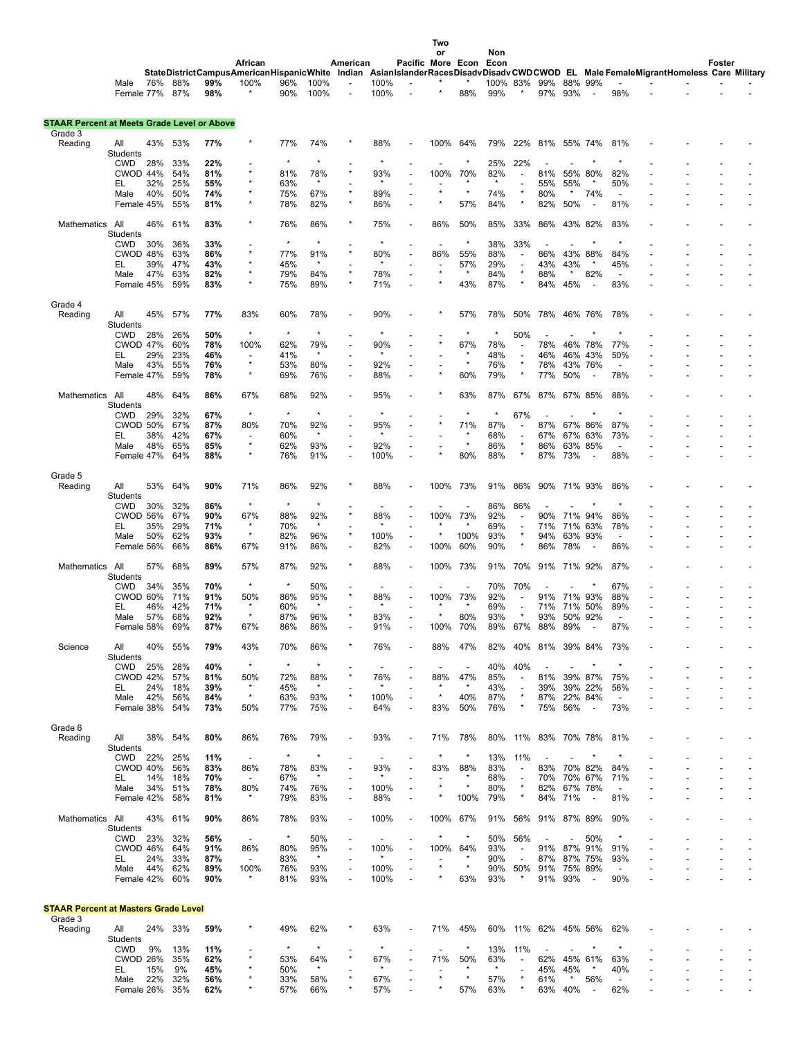|                                                    |                        |            |            |            |                                                                                                                                              |            |                |                          |                                 |                          | Two                   |                                 |            |                                 |            |                    |                          |                                 |  |        |  |
|----------------------------------------------------|------------------------|------------|------------|------------|----------------------------------------------------------------------------------------------------------------------------------------------|------------|----------------|--------------------------|---------------------------------|--------------------------|-----------------------|---------------------------------|------------|---------------------------------|------------|--------------------|--------------------------|---------------------------------|--|--------|--|
|                                                    |                        |            |            |            |                                                                                                                                              |            |                |                          |                                 |                          | or                    |                                 | Non        |                                 |            |                    |                          |                                 |  |        |  |
|                                                    |                        |            |            |            | African<br>StateDistrictCampusAmericanHispanicWhite Indian AsianIslanderRacesDisadvDisadvCWDCWOD EL Male FemaleMigrantHomeless Care Military |            |                | American                 |                                 | Pacific More Econ Econ   |                       |                                 |            |                                 |            |                    |                          |                                 |  | Foster |  |
|                                                    | Male                   | 76%        | 88%        | 99%        | 100%                                                                                                                                         | 96%        | 100%           |                          | 100%                            |                          |                       | $\star$                         | 100%       | 83%                             | 99%        | 88% 99%            |                          |                                 |  |        |  |
|                                                    | Female 77% 87%         |            |            | 98%        |                                                                                                                                              | 90%        | 100%           |                          | 100%                            |                          |                       | 88%                             | 99%        |                                 | 97%        | 93%                | $\overline{\phantom{0}}$ | 98%                             |  |        |  |
|                                                    |                        |            |            |            |                                                                                                                                              |            |                |                          |                                 |                          |                       |                                 |            |                                 |            |                    |                          |                                 |  |        |  |
| <b>STAAR Percent at Meets Grade Level or Above</b> |                        |            |            |            |                                                                                                                                              |            |                |                          |                                 |                          |                       |                                 |            |                                 |            |                    |                          |                                 |  |        |  |
| Grade 3<br>Reading                                 | All                    | 43%        | 53%        | 77%        |                                                                                                                                              | 77%        | 74%            |                          | 88%                             |                          | 100%                  | 64%                             | 79%        | 22%                             | 81%        | 55% 74%            |                          | 81%                             |  |        |  |
|                                                    | <b>Students</b>        |            |            |            |                                                                                                                                              |            |                |                          |                                 |                          |                       |                                 |            |                                 |            |                    |                          |                                 |  |        |  |
|                                                    | <b>CWD</b>             | 28%        | 33%        | 22%        |                                                                                                                                              | $\star$    | $\star$        |                          | $\star$                         |                          |                       |                                 | 25%        | 22%                             |            |                    |                          |                                 |  |        |  |
|                                                    | CWOD 44%               |            | 54%        | 81%        | $\star$                                                                                                                                      | 81%        | 78%<br>$\star$ |                          | 93%                             |                          | 100%                  | 70%                             | 82%        |                                 | 81%        |                    | 55% 80%                  | 82%                             |  |        |  |
|                                                    | EL                     | 32%<br>40% | 25%<br>50% | 55%<br>74% |                                                                                                                                              | 63%<br>75% | 67%            | $\star$                  | 89%                             |                          |                       | $\star$                         | 74%        | ÷,<br>×                         | 55%<br>80% | 55%                | 74%                      | 50%<br>$\overline{\phantom{a}}$ |  |        |  |
|                                                    | Male<br>Female 45%     |            | 55%        | 81%        |                                                                                                                                              | 78%        | 82%            |                          | 86%                             |                          |                       | 57%                             | 84%        | ź                               | 82%        | 50%                |                          | 81%                             |  |        |  |
|                                                    |                        |            |            |            |                                                                                                                                              |            |                |                          |                                 |                          |                       |                                 |            |                                 |            |                    |                          |                                 |  |        |  |
| Mathematics                                        | All                    | 46%        | 61%        | 83%        |                                                                                                                                              | 76%        | 86%            |                          | 75%                             |                          | 86%                   | 50%                             | 85%        | 33%                             | 86%        |                    | 43% 82%                  | 83%                             |  |        |  |
|                                                    | Students               |            |            |            |                                                                                                                                              | $\star$    | $\star$        |                          | $\star$                         |                          |                       | $\star$                         |            |                                 |            |                    |                          |                                 |  |        |  |
|                                                    | <b>CWD</b><br>CWOD 48% | 30%        | 36%<br>63% | 33%<br>86% | $\star$                                                                                                                                      | 77%        | 91%            |                          | 80%                             |                          | $\overline{a}$<br>86% | 55%                             | 38%<br>88% | 33%<br>$\overline{\phantom{a}}$ | 86%        |                    | 43% 88%                  | 84%                             |  |        |  |
|                                                    | EL                     | 39%        | 47%        | 43%        |                                                                                                                                              | 45%        | $\star$        |                          | $\star$                         |                          |                       | 57%                             | 29%        | $\overline{a}$                  | 43%        | 43%                | $\star$                  | 45%                             |  |        |  |
|                                                    | Male                   | 47%        | 63%        | 82%        |                                                                                                                                              | 79%        | 84%            | $\star$                  | 78%                             |                          |                       |                                 | 84%        | $^\star$                        | 88%        |                    | 82%                      | $\overline{\phantom{a}}$        |  |        |  |
|                                                    | Female 45%             |            | 59%        | 83%        |                                                                                                                                              | 75%        | 89%            |                          | 71%                             |                          |                       | 43%                             | 87%        | ×                               | 84%        | 45%                |                          | 83%                             |  |        |  |
|                                                    |                        |            |            |            |                                                                                                                                              |            |                |                          |                                 |                          |                       |                                 |            |                                 |            |                    |                          |                                 |  |        |  |
| Grade 4                                            |                        |            |            |            |                                                                                                                                              |            |                |                          |                                 |                          |                       |                                 |            |                                 |            |                    |                          |                                 |  |        |  |
| Reading                                            | All<br>Students        | 45%        | 57%        | 77%        | 83%                                                                                                                                          | 60%        | 78%            |                          | 90%                             |                          |                       | 57%                             | 78%        | 50%                             | 78%        | 46% 76%            |                          | 78%                             |  |        |  |
|                                                    | <b>CWD</b>             | 28%        | 26%        | 50%        | $\star$                                                                                                                                      | $\star$    | $\star$        |                          | $\star$                         |                          |                       | $\star$                         | $\star$    | 50%                             |            |                    |                          |                                 |  |        |  |
|                                                    | <b>CWOD 47%</b>        |            | 60%        | 78%        | 100%                                                                                                                                         | 62%        | 79%            |                          | 90%                             |                          |                       | 67%                             | 78%        | $\overline{\phantom{a}}$        | 78%        |                    | 46% 78%                  | 77%                             |  |        |  |
|                                                    | EL                     | 29%        | 23%        | 46%        |                                                                                                                                              | 41%        | $\star$        |                          | $\star$                         |                          |                       | $\star$                         | 48%        | ÷,                              | 46%        |                    | 46% 43%                  | 50%                             |  |        |  |
|                                                    | Male                   | 43%        | 55%        | 76%        | $\star$                                                                                                                                      | 53%        | 80%            |                          | 92%                             |                          |                       | $\star$                         | 76%        | $\star$                         | 78%        | 43%                | 76%                      |                                 |  |        |  |
|                                                    | Female 47%             |            | 59%        | 78%        | $\star$                                                                                                                                      | 69%        | 76%            |                          | 88%                             |                          |                       | 60%                             | 79%        | $\star$                         | 77%        | 50%                |                          | 78%                             |  |        |  |
| Mathematics                                        | All                    | 48%        | 64%        | 86%        | 67%                                                                                                                                          | 68%        | 92%            |                          | 95%                             |                          |                       | 63%                             | 87%        | 67%                             | 87%        | 67% 85%            |                          | 88%                             |  |        |  |
|                                                    | Students               |            |            |            |                                                                                                                                              |            |                |                          |                                 |                          |                       |                                 |            |                                 |            |                    |                          |                                 |  |        |  |
|                                                    | <b>CWD</b>             | 29%        | 32%        | 67%        | $\star$                                                                                                                                      | $\star$    | $\star$        |                          | $\star$                         |                          |                       | $\star$                         | $^\star$   | 67%                             |            |                    |                          |                                 |  |        |  |
|                                                    | CWOD 50%               |            | 67%        | 87%        | 80%                                                                                                                                          | 70%        | 92%            |                          | 95%                             |                          |                       | 71%                             | 87%        | ÷,                              | 87%        | 67% 86%            |                          | 87%                             |  |        |  |
|                                                    | EL                     | 38%        | 42%        | 67%        | $\overline{\phantom{a}}$                                                                                                                     | 60%        | $\star$        |                          |                                 |                          |                       |                                 | 68%        | $\overline{\phantom{a}}$        | 67%        |                    | 67% 63%                  | 73%                             |  |        |  |
|                                                    | Male                   | 48%        | 65%        | 85%        | $\star$<br>$\star$                                                                                                                           | 62%        | 93%            | $\overline{\phantom{a}}$ | 92%                             |                          |                       | $\star$                         | 86%        | $^\star$<br>ź                   | 86%        | 63%                | 85%                      | $\overline{\phantom{a}}$        |  |        |  |
|                                                    | Female 47%             |            | 64%        | 88%        |                                                                                                                                              | 76%        | 91%            |                          | 100%                            |                          |                       | 80%                             | 88%        |                                 | 87%        | 73%                |                          | 88%                             |  |        |  |
| Grade 5                                            |                        |            |            |            |                                                                                                                                              |            |                |                          |                                 |                          |                       |                                 |            |                                 |            |                    |                          |                                 |  |        |  |
| Reading                                            | All                    | 53%        | 64%        | 90%        | 71%                                                                                                                                          | 86%        | 92%            |                          | 88%                             |                          | 100%                  | 73%                             | 91%        | 86%                             | 90%        | 71% 93%            |                          | 86%                             |  |        |  |
|                                                    | Students               |            |            |            |                                                                                                                                              |            |                |                          |                                 |                          |                       |                                 |            |                                 |            |                    |                          |                                 |  |        |  |
|                                                    | <b>CWD</b>             | 30%        | 32%        | 86%        | $\star$                                                                                                                                      | $\star$    | $\star$        |                          |                                 |                          |                       |                                 | 86%        | 86%                             |            |                    |                          |                                 |  |        |  |
|                                                    | CWOD 56%               |            | 67%        | 90%        | 67%                                                                                                                                          | 88%        | 92%<br>$\star$ |                          | 88%                             |                          | 100%                  | 73%                             | 92%        | $\overline{a}$                  | 90%        |                    | 71% 94%                  | 86%                             |  |        |  |
|                                                    | EL                     | 35%<br>50% | 29%<br>62% | 71%<br>93% | $\star$                                                                                                                                      | 70%<br>82% | 96%            | $\star$                  | 100%                            |                          |                       | 100%                            | 69%<br>93% | $\blacksquare$<br>$\star$       | 71%<br>94% | 71% 63%<br>63%     | 93%                      | 78%                             |  |        |  |
|                                                    | Male<br>Female 56%     |            | 66%        | 86%        | 67%                                                                                                                                          | 91%        | 86%            | $\overline{\phantom{a}}$ | 82%                             | $\overline{\phantom{a}}$ | 100%                  | 60%                             | 90%        | ×                               | 86%        | 78%                |                          | 86%                             |  |        |  |
|                                                    |                        |            |            |            |                                                                                                                                              |            |                |                          |                                 |                          |                       |                                 |            |                                 |            |                    |                          |                                 |  |        |  |
| Mathematics                                        | All                    | 57%        | 68%        | 89%        | 57%                                                                                                                                          | 87%        | 92%            |                          | 88%                             |                          | 100%                  | 73%                             | 91%        | 70%                             | 91%        | 71% 92%            |                          | 87%                             |  |        |  |
|                                                    | <b>Students</b>        |            |            |            |                                                                                                                                              |            |                |                          |                                 |                          |                       |                                 |            |                                 |            |                    |                          |                                 |  |        |  |
|                                                    | <b>CWD</b>             | 34%        | 35%        | 70%        | $\star$                                                                                                                                      | $\star$    | 50%            |                          |                                 |                          |                       |                                 | 70%        | 70%                             |            |                    |                          | 67%                             |  |        |  |
|                                                    | CWOD 60%<br>EL         | 46%        | 71%<br>42% | 91%<br>71% | 50%<br>$^\star$                                                                                                                              | 86%<br>60% | 95%<br>$\star$ |                          | 88%<br>$\star$                  |                          | 100%                  | 73%                             | 92%<br>69% | $\overline{a}$                  | 91%<br>71% | 71% 93%<br>71% 50% |                          | 88%<br>89%                      |  |        |  |
|                                                    | Male                   | 57%        | 68%        | 92%        | $\star$                                                                                                                                      | 87%        | 96%            |                          | 83%                             |                          |                       | 80%                             | 93%        | *                               | 93%        | 50% 92%            |                          |                                 |  |        |  |
|                                                    | Female 58%             |            | 69%        | 87%        | 67%                                                                                                                                          | 86%        | 86%            |                          | 91%                             |                          | 100%                  | 70%                             | 89%        | 67%                             | 88%        | 89%                |                          | 87%                             |  |        |  |
|                                                    |                        |            |            |            |                                                                                                                                              |            |                |                          |                                 |                          |                       |                                 |            |                                 |            |                    |                          |                                 |  |        |  |
| Science                                            | All                    | 40%        | 55%        | 79%        | 43%                                                                                                                                          | 70%        | 86%            |                          | 76%                             |                          | 88%                   | 47%                             | 82%        | 40%                             | 81%        | 39% 84%            |                          | 73%                             |  |        |  |
|                                                    | <b>Students</b>        |            |            |            | $\star$                                                                                                                                      | $\star$    | $^\star$       |                          |                                 |                          |                       |                                 |            |                                 |            |                    | $\star$                  | $\star$                         |  |        |  |
|                                                    | CWD<br><b>CWOD 42%</b> | 25%        | 28%<br>57% | 40%<br>81% | 50%                                                                                                                                          | 72%        | 88%            |                          | $\overline{\phantom{a}}$<br>76% |                          | 88%                   | $\overline{\phantom{a}}$<br>47% | 40%<br>85% | 40%<br>$\overline{\phantom{a}}$ | 81%        |                    | 39% 87%                  | 75%                             |  |        |  |
|                                                    | EL                     | 24%        | 18%        | 39%        | $^\star$                                                                                                                                     | 45%        | $\star$        |                          |                                 |                          |                       |                                 | 43%        | $\overline{\phantom{a}}$        | 39%        |                    | 39% 22%                  | 56%                             |  |        |  |
|                                                    | Male                   | 42%        | 56%        | 84%        | $\star$                                                                                                                                      | 63%        | 93%            |                          | 100%                            | $\sim$                   | $\star$               | 40%                             | 87%        | $^\star$                        | 87%        |                    | 22% 84%                  | $\overline{\phantom{a}}$        |  |        |  |
|                                                    | Female 38%             |            | 54%        | 73%        | 50%                                                                                                                                          | 77%        | 75%            |                          | 64%                             |                          | 83%                   | 50%                             | 76%        | ×                               | 75%        | 56%                | $\overline{\phantom{a}}$ | 73%                             |  |        |  |
|                                                    |                        |            |            |            |                                                                                                                                              |            |                |                          |                                 |                          |                       |                                 |            |                                 |            |                    |                          |                                 |  |        |  |
| Grade 6<br>Reading                                 | All                    | 38%        | 54%        | 80%        | 86%                                                                                                                                          | 76%        | 79%            |                          | 93%                             | $\blacksquare$           | 71%                   | 78%                             | 80%        | 11%                             | 83%        | 70% 78%            |                          | 81%                             |  |        |  |
|                                                    | Students               |            |            |            |                                                                                                                                              |            |                |                          |                                 |                          |                       |                                 |            |                                 |            |                    |                          |                                 |  |        |  |
|                                                    | CWD                    | 22%        | 25%        | 11%        | $\overline{\phantom{a}}$                                                                                                                     | $\star$    | $^\star$       |                          |                                 |                          | $\star$               | $\star$                         | 13%        | 11%                             |            |                    |                          |                                 |  |        |  |
|                                                    | <b>CWOD 40%</b>        |            | 56%        | 83%        | 86%                                                                                                                                          | 78%        | 83%            |                          | 93%                             |                          | 83%                   | 88%                             | 83%        | $\overline{a}$                  | 83%        | 70% 82%            |                          | 84%                             |  |        |  |
|                                                    | EL                     | 14%        | 18%        | 70%        | $\blacksquare$                                                                                                                               | 67%        | $\star$        |                          |                                 |                          |                       |                                 | 68%        | $\overline{\phantom{a}}$        | 70%        | 70% 67%            |                          | 71%                             |  |        |  |
|                                                    | Male                   | 34%        | 51%        | 78%        | 80%                                                                                                                                          | 74%        | 76%            | $\overline{\phantom{a}}$ | 100%                            |                          | $\star$               | $\star$                         | 80%        | $^\star$<br>$^\star$            | 82%        | 67% 78%            |                          | $\overline{a}$                  |  |        |  |
|                                                    | Female 42%             |            | 58%        | 81%        |                                                                                                                                              | 79%        | 83%            | $\overline{\phantom{a}}$ | 88%                             |                          |                       | 100%                            | 79%        |                                 | 84%        | 71%                | $\overline{\phantom{a}}$ | 81%                             |  |        |  |
| Mathematics                                        | All                    |            | 43% 61%    | 90%        | 86%                                                                                                                                          | 78%        | 93%            |                          | 100%                            |                          | 100%                  | 67%                             | 91%        | 56%                             | 91%        | 87% 89%            |                          | 90%                             |  |        |  |
|                                                    | <b>Students</b>        |            |            |            |                                                                                                                                              |            |                |                          |                                 |                          |                       |                                 |            |                                 |            |                    |                          |                                 |  |        |  |
|                                                    | <b>CWD</b>             | 23%        | 32%        | 56%        | $\blacksquare$                                                                                                                               | $\star$    | 50%            |                          | $\overline{\phantom{a}}$        |                          | $\star$               | $\star$                         | 50%        | 56%                             |            |                    | 50%                      | $\star$                         |  |        |  |
|                                                    | CWOD 46%               |            | 64%        | 91%        | 86%                                                                                                                                          | 80%        | 95%            |                          | 100%                            |                          | 100%                  | 64%                             | 93%        | $\blacksquare$                  | 91%        | 87% 91%            |                          | 91%                             |  |        |  |
|                                                    | EL                     | 24%        | 33%        | 87%        | $\blacksquare$                                                                                                                               | 83%        | $\star$        |                          | *                               |                          |                       | $\star$                         | 90%        | $\blacksquare$                  | 87%        | 87% 75%            |                          | 93%                             |  |        |  |
|                                                    | Male                   | 44%        | 62%        | 89%        | 100%<br>$^\star$                                                                                                                             | 76%        | 93%            |                          | 100%                            |                          |                       |                                 | 90%        | 50%<br>$^\star$                 | 91%        | 75% 89%            |                          | $\overline{\phantom{a}}$        |  |        |  |
|                                                    | Female 42%             |            | 60%        | 90%        |                                                                                                                                              | 81%        | 93%            |                          | 100%                            |                          |                       | 63%                             | 93%        |                                 | 91%        | 93%                | $\blacksquare$           | 90%                             |  |        |  |
|                                                    |                        |            |            |            |                                                                                                                                              |            |                |                          |                                 |                          |                       |                                 |            |                                 |            |                    |                          |                                 |  |        |  |
| <b>STAAR Percent at Masters Grade Level</b>        |                        |            |            |            |                                                                                                                                              |            |                |                          |                                 |                          |                       |                                 |            |                                 |            |                    |                          |                                 |  |        |  |
| Grade 3                                            |                        |            |            |            |                                                                                                                                              |            |                |                          |                                 |                          |                       |                                 |            |                                 |            |                    |                          |                                 |  |        |  |
| Reading                                            | All<br><b>Students</b> |            | 24% 33%    | 59%        |                                                                                                                                              | 49%        | 62%            |                          | 63%                             |                          | 71%                   | 45%                             | 60%        | 11%                             | 62%        | 45% 56%            |                          | 62%                             |  |        |  |
|                                                    | <b>CWD</b>             | 9%         | 13%        | 11%        |                                                                                                                                              | $\star$    | $\star$        |                          | $\star$                         |                          |                       | $\star$                         | 13%        | 11%                             |            |                    | $^{\star}$               | $\star$                         |  |        |  |
|                                                    | CWOD 26%               |            | 35%        | 62%        |                                                                                                                                              | 53%        | 64%            |                          | 67%                             |                          | 71%                   | 50%                             | 63%        | $\overline{\phantom{a}}$        | 62%        |                    | 45% 61%                  | 63%                             |  |        |  |
|                                                    | EL                     | 15%        | 9%         | 45%        |                                                                                                                                              | 50%        |                |                          |                                 |                          |                       |                                 | $^\star$   |                                 | 45%        | 45%                |                          | 40%                             |  |        |  |
|                                                    | Male                   | 22%        | 32%        | 56%        |                                                                                                                                              | 33%        | 58%            |                          | 67%                             |                          |                       |                                 | 57%        | $\star$                         | 61%        | $\star$            | 56%                      | $\overline{\phantom{a}}$        |  |        |  |
|                                                    | Female 26%             |            | 35%        | 62%        |                                                                                                                                              | 57%        | 66%            |                          | 57%                             |                          |                       | 57%                             | 63%        | $^\star$                        | 63%        | 40%                |                          | 62%                             |  |        |  |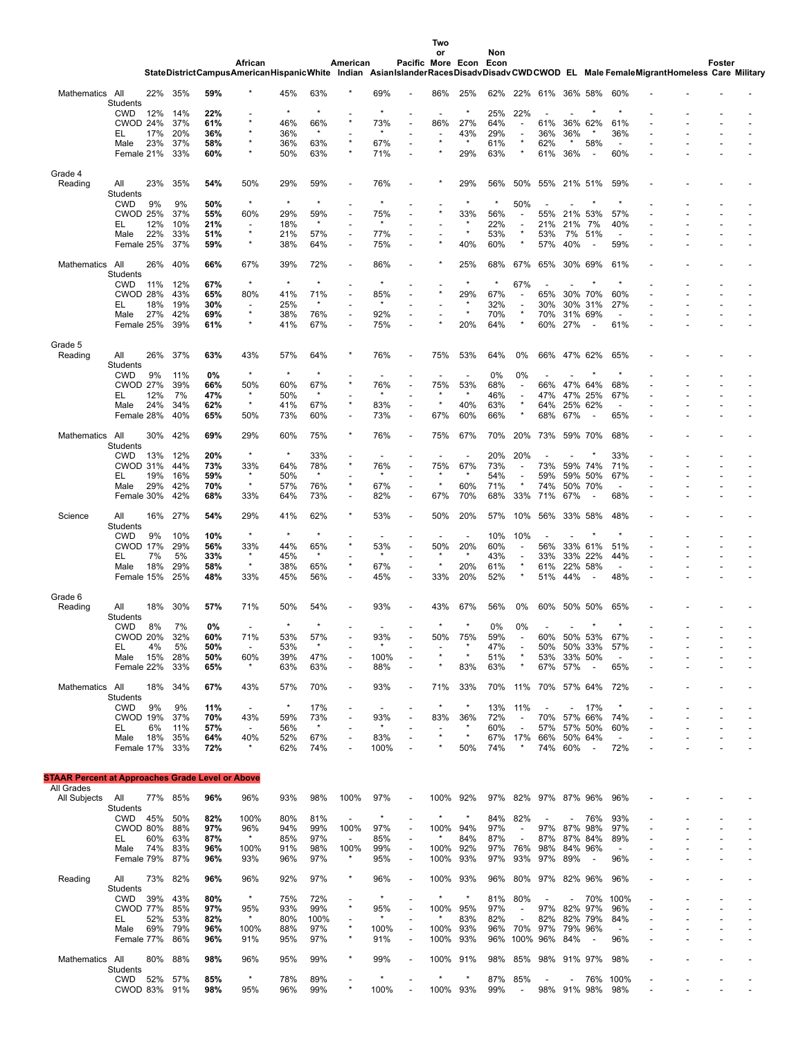| Two |  |
|-----|--|
|     |  |

|                                                         |                               |           |            |            |                                                                                                                                              |            |                |                 |                          |                          | or                       |         | Non        |                                                      |                          |                |                          |                                 |  |        |  |
|---------------------------------------------------------|-------------------------------|-----------|------------|------------|----------------------------------------------------------------------------------------------------------------------------------------------|------------|----------------|-----------------|--------------------------|--------------------------|--------------------------|---------|------------|------------------------------------------------------|--------------------------|----------------|--------------------------|---------------------------------|--|--------|--|
|                                                         |                               |           |            |            | African<br>StateDistrictCampusAmericanHispanicWhite Indian AsianIslanderRacesDisadvDisadvCWDCWOD EL Male FemaleMigrantHomeless Care Military |            |                | American        |                          | Pacific More Econ Econ   |                          |         |            |                                                      |                          |                |                          |                                 |  | Foster |  |
|                                                         |                               |           |            |            |                                                                                                                                              |            |                |                 |                          |                          |                          |         |            |                                                      |                          |                |                          |                                 |  |        |  |
| Mathematics All                                         |                               | 22%       | 35%        | 59%        |                                                                                                                                              | 45%        | 63%            |                 | 69%                      |                          | 86%                      | 25%     | 62%        | 22%                                                  | 61%                      |                | 36% 58%                  | 60%                             |  |        |  |
|                                                         | <b>Students</b>               |           |            |            |                                                                                                                                              |            |                |                 |                          |                          |                          |         |            |                                                      |                          |                |                          |                                 |  |        |  |
|                                                         | <b>CWD</b><br>CWOD 24%        | 12%       | 14%<br>37% | 22%<br>61% |                                                                                                                                              | 46%        | 66%            | $\star$         | 73%                      |                          | 86%                      | 27%     | 25%<br>64% | 22%<br>$\overline{a}$                                | 61%                      |                | 36% 62%                  | 61%                             |  |        |  |
|                                                         | EL                            | 17%       | 20%        | 36%        |                                                                                                                                              | 36%        | $\star$        |                 | $^\star$                 |                          | $\overline{\phantom{a}}$ | 43%     | 29%        | $\overline{\phantom{a}}$                             | 36%                      | 36%            | $\star$                  | 36%                             |  |        |  |
|                                                         | Male                          | 23%       | 37%        | 58%        |                                                                                                                                              | 36%        | 63%            | $\star$         | 67%                      |                          |                          | $\star$ | 61%        | $\star$                                              | 62%                      | $\star$        | 58%                      | $\overline{\phantom{a}}$        |  |        |  |
|                                                         | Female 21%                    |           | 33%        | 60%        |                                                                                                                                              | 50%        | 63%            | $\star$         | 71%                      |                          |                          | 29%     | 63%        |                                                      | 61%                      | 36%            |                          | 60%                             |  |        |  |
|                                                         |                               |           |            |            |                                                                                                                                              |            |                |                 |                          |                          |                          |         |            |                                                      |                          |                |                          |                                 |  |        |  |
| Grade 4<br>Reading                                      | All                           | 23%       | 35%        | 54%        | 50%                                                                                                                                          | 29%        | 59%            |                 | 76%                      |                          |                          | 29%     | 56%        | 50%                                                  | 55%                      | 21% 51%        |                          | 59%                             |  |        |  |
|                                                         | Students                      |           |            |            |                                                                                                                                              |            |                |                 |                          |                          |                          |         |            |                                                      |                          |                |                          |                                 |  |        |  |
|                                                         | <b>CWD</b>                    | 9%        | 9%         | 50%        | $\star$                                                                                                                                      | $\star$    | $\star$        |                 |                          |                          |                          |         | $\star$    | 50%                                                  |                          |                |                          |                                 |  |        |  |
|                                                         | <b>CWOD 25%</b>               |           | 37%        | 55%        | 60%                                                                                                                                          | 29%        | 59%            |                 | 75%                      |                          |                          | 33%     | 56%        | $\overline{a}$                                       | 55%                      | 21%            | 53%                      | 57%                             |  |        |  |
|                                                         | EL                            | 12%       | 10%        | 21%        | $\overline{\phantom{a}}$<br>$\star$                                                                                                          | 18%        | $\star$        |                 | *                        |                          |                          | $\star$ | 22%        | $\overline{\phantom{a}}$                             | 21%                      | 21%            | 7%                       | 40%                             |  |        |  |
|                                                         | Male                          | 22%       | 33%        | 51%        | $\star$                                                                                                                                      | 21%        | 57%            | ÷,              | 77%                      |                          |                          |         | 53%        | ×<br>×                                               | 53%                      | 7%             | 51%                      | $\overline{\phantom{a}}$        |  |        |  |
|                                                         | Female 25%                    |           | 37%        | 59%        |                                                                                                                                              | 38%        | 64%            |                 | 75%                      |                          |                          | 40%     | 60%        |                                                      | 57%                      | 40%            | $\overline{\phantom{a}}$ | 59%                             |  |        |  |
| Mathematics All                                         |                               | 26%       | 40%        | 66%        | 67%                                                                                                                                          | 39%        | 72%            |                 | 86%                      |                          |                          | 25%     | 68%        | 67%                                                  | 65%                      |                | 30% 69%                  | 61%                             |  |        |  |
|                                                         | <b>Students</b>               |           |            |            |                                                                                                                                              |            |                |                 |                          |                          |                          |         |            |                                                      |                          |                |                          |                                 |  |        |  |
|                                                         | <b>CWD</b>                    | 11%       | 12%        | 67%        | $\star$                                                                                                                                      |            | $\star$        |                 |                          |                          |                          |         | $\star$    | 67%                                                  |                          |                |                          |                                 |  |        |  |
|                                                         | CWOD 28%                      |           | 43%        | 65%        | 80%                                                                                                                                          | 41%        | 71%            |                 | 85%<br>$\star$           |                          |                          | 29%     | 67%        | ÷,                                                   | 65%                      |                | 30% 70%                  | 60%                             |  |        |  |
|                                                         | EL                            | 18%       | 19%        | 30%        | $\overline{\phantom{a}}$<br>$\star$                                                                                                          | 25%        | $\star$        |                 |                          |                          |                          | $\star$ | 32%        | $\overline{\phantom{a}}$<br>$\star$                  | 30%                      |                | 30% 31%                  | 27%<br>$\overline{a}$           |  |        |  |
|                                                         | Male<br>Female 25%            | 27%       | 42%<br>39% | 69%<br>61% |                                                                                                                                              | 38%<br>41% | 76%<br>67%     |                 | 92%<br>75%               |                          |                          | 20%     | 70%<br>64% |                                                      | 70%<br>60%               | 27%            | 31% 69%                  | 61%                             |  |        |  |
|                                                         |                               |           |            |            |                                                                                                                                              |            |                |                 |                          |                          |                          |         |            |                                                      |                          |                |                          |                                 |  |        |  |
| Grade 5                                                 |                               |           |            |            |                                                                                                                                              |            |                |                 |                          |                          |                          |         |            |                                                      |                          |                |                          |                                 |  |        |  |
| Reading                                                 | All                           | 26%       | 37%        | 63%        | 43%                                                                                                                                          | 57%        | 64%            | $\star$         | 76%                      |                          | 75%                      | 53%     | 64%        | 0%                                                   | 66%                      | 47% 62%        |                          | 65%                             |  |        |  |
|                                                         | Students                      |           |            |            |                                                                                                                                              |            |                |                 |                          |                          |                          |         |            |                                                      |                          |                |                          |                                 |  |        |  |
|                                                         | <b>CWD</b>                    | 9%        | 11%        | 0%         | $\star$                                                                                                                                      | $\star$    | $^{\star}$     |                 |                          |                          |                          |         | 0%         | 0%                                                   |                          |                |                          |                                 |  |        |  |
|                                                         | <b>CWOD 27%</b><br>EL         | 12%       | 39%<br>7%  | 66%<br>47% | 50%<br>$\star$                                                                                                                               | 60%<br>50% | 67%<br>$\star$ |                 | 76%<br>$\star$           |                          | 75%                      | 53%     | 68%<br>46% | $\overline{\phantom{a}}$<br>$\overline{\phantom{a}}$ | 66%<br>47%               | 47% 64%        | 47% 25%                  | 68%<br>67%                      |  |        |  |
|                                                         | Male                          | 24%       | 34%        | 62%        | $^\star$                                                                                                                                     | 41%        | 67%            | $\star$         | 83%                      | $\overline{\phantom{a}}$ |                          | 40%     | 63%        | $\star$                                              | 64%                      |                | 25% 62%                  | Ĭ.                              |  |        |  |
|                                                         | Female 28%                    |           | 40%        | 65%        | 50%                                                                                                                                          | 73%        | 60%            | $\overline{a}$  | 73%                      | ÷                        | 67%                      | 60%     | 66%        | ×                                                    | 68%                      | 67%            | $\overline{\phantom{a}}$ | 65%                             |  |        |  |
|                                                         |                               |           |            |            |                                                                                                                                              |            |                |                 |                          |                          |                          |         |            |                                                      |                          |                |                          |                                 |  |        |  |
| Mathematics All                                         |                               | 30%       | 42%        | 69%        | 29%                                                                                                                                          | 60%        | 75%            |                 | 76%                      |                          | 75%                      | 67%     | 70%        | 20%                                                  | 73%                      |                | 59% 70%                  | 68%                             |  |        |  |
|                                                         | Students                      |           |            |            | $\star$                                                                                                                                      | $\star$    |                |                 |                          |                          |                          |         |            |                                                      |                          |                |                          |                                 |  |        |  |
|                                                         | <b>CWD</b><br><b>CWOD 31%</b> | 13%       | 12%<br>44% | 20%<br>73% | 33%                                                                                                                                          | 64%        | 33%<br>78%     | $\star$         | 76%                      |                          | 75%                      | 67%     | 20%<br>73% | 20%<br>$\overline{a}$                                | 73%                      |                | 59% 74%                  | 33%<br>71%                      |  |        |  |
|                                                         | EL                            | 19%       | 16%        | 59%        | $\star$                                                                                                                                      | 50%        | $\star$        |                 | $\star$                  |                          | $\star$                  | $\star$ | 54%        | $\overline{\phantom{a}}$                             | 59%                      |                | 59% 50%                  | 67%                             |  |        |  |
|                                                         | Male                          | 29%       | 42%        | 70%        | $^\star$                                                                                                                                     | 57%        | 76%            | $\star$         | 67%                      |                          | $\star$                  | 60%     | 71%        |                                                      | 74%                      |                | 50% 70%                  | ÷,                              |  |        |  |
|                                                         | Female 30%                    |           | 42%        | 68%        | 33%                                                                                                                                          | 64%        | 73%            |                 | 82%                      | ٠                        | 67%                      | 70%     | 68%        | 33%                                                  | 71%                      | 67%            |                          | 68%                             |  |        |  |
|                                                         |                               |           |            |            |                                                                                                                                              |            |                |                 |                          |                          |                          |         |            |                                                      |                          |                |                          |                                 |  |        |  |
| Science                                                 | All                           | 16%       | 27%        | 54%        | 29%                                                                                                                                          | 41%        | 62%            |                 | 53%                      |                          | 50%                      | 20%     | 57%        | 10%                                                  | 56%                      | 33%            | -58%                     | 48%                             |  |        |  |
|                                                         | Students<br><b>CWD</b>        | 9%        | 10%        | 10%        | $\star$                                                                                                                                      | $\star$    | $\star$        |                 |                          |                          |                          |         | 10%        | 10%                                                  |                          |                |                          |                                 |  |        |  |
|                                                         | <b>CWOD 17%</b>               |           | 29%        | 56%        | 33%                                                                                                                                          | 44%        | 65%            |                 | 53%                      |                          | 50%                      | 20%     | 60%        | $\overline{a}$                                       | 56%                      |                | 33% 61%                  | 51%                             |  |        |  |
|                                                         | EL                            | 7%        | 5%         | 33%        | $\star$                                                                                                                                      | 45%        | $\star$        |                 | $\star$                  |                          |                          | $\star$ | 43%        | $\overline{\phantom{a}}$                             | 33%                      |                | 33% 22%                  | 44%                             |  |        |  |
|                                                         | Male                          | 18%       | 29%        | 58%        | $\star$                                                                                                                                      | 38%        | 65%            | $\star$         | 67%                      | ٠                        |                          | 20%     | 61%        | $\star$                                              | 61%                      | 22%            | 58%                      | $\overline{a}$                  |  |        |  |
|                                                         | Female 15%                    |           | 25%        | 48%        | 33%                                                                                                                                          | 45%        | 56%            |                 | 45%                      |                          | 33%                      | 20%     | 52%        |                                                      | 51%                      | 44%            |                          | 48%                             |  |        |  |
|                                                         |                               |           |            |            |                                                                                                                                              |            |                |                 |                          |                          |                          |         |            |                                                      |                          |                |                          |                                 |  |        |  |
| Grade 6<br>Reading                                      | All                           | 18%       | 30%        | 57%        | 71%                                                                                                                                          | 50%        | 54%            |                 | 93%                      |                          | 43%                      | 67%     | 56%        | 0%                                                   | 60%                      |                | 50% 50%                  | 65%                             |  |        |  |
|                                                         | Students                      |           |            |            |                                                                                                                                              |            |                |                 |                          |                          |                          |         |            |                                                      |                          |                |                          |                                 |  |        |  |
|                                                         | <b>CWD</b>                    | 8%        | 7%         | 0%         |                                                                                                                                              |            |                |                 |                          |                          |                          | $\star$ | 0%         | 0%                                                   |                          |                |                          |                                 |  |        |  |
|                                                         | <b>CWOD</b>                   | 20%       | 32%        | 60%        | 71%                                                                                                                                          | 53%        | 57%            |                 | 93%                      |                          |                          | 75%     | 59%        |                                                      |                          | 60% 50% 53%    |                          | 67%                             |  |        |  |
|                                                         | EL                            | 4%        | 5%         | 50%        | $\blacksquare$                                                                                                                               | 53%        | $\star$        |                 | $\star$                  |                          |                          |         | 47%        |                                                      |                          | 50% 50% 33%    |                          | 57%                             |  |        |  |
|                                                         | Male                          | 15%       | 28%        | 50%        | 60%<br>$\star$                                                                                                                               | 39%        | 47%<br>63%     |                 | 100%                     |                          |                          | 83%     | 51%<br>63% | ×                                                    | 53%                      | 33% 50%<br>57% |                          |                                 |  |        |  |
|                                                         | Female 22%                    |           | 33%        | 65%        |                                                                                                                                              | 63%        |                |                 | 88%                      |                          |                          |         |            |                                                      | 67%                      |                | $\overline{\phantom{a}}$ | 65%                             |  |        |  |
| Mathematics All                                         |                               | 18% 34%   |            | 67%        | 43%                                                                                                                                          | 57%        | 70%            |                 | 93%                      |                          | 71%                      | 33%     | 70%        | 11%                                                  | 70% 57% 64%              |                |                          | 72%                             |  |        |  |
|                                                         | Students                      |           |            |            |                                                                                                                                              |            |                |                 |                          |                          |                          |         |            |                                                      |                          |                |                          |                                 |  |        |  |
|                                                         | <b>CWD</b>                    | 9%        | 9%         | 11%        | $\overline{\phantom{a}}$                                                                                                                     | $\star$    | 17%            |                 | $\overline{\phantom{a}}$ |                          | $\star$                  | $\star$ | 13%        | 11%                                                  | $\overline{\phantom{a}}$ |                | 17%                      | $\star$                         |  |        |  |
|                                                         | CWOD 19%<br>EL                |           | 37%<br>11% | 70%        | 43%<br>$\overline{\phantom{a}}$                                                                                                              | 59%        | 73%<br>$\star$ |                 | 93%<br>$\star$           |                          | 83%                      | 36%     | 72%        | $\overline{\phantom{a}}$                             | 70% 57% 66%<br>57%       |                | 57% 50%                  | 74%<br>60%                      |  |        |  |
|                                                         | Male                          | 6%<br>18% | 35%        | 57%<br>64% | 40%                                                                                                                                          | 56%<br>52% | 67%            |                 | 83%                      |                          |                          |         | 60%<br>67% | $\overline{\phantom{a}}$<br>17%                      | 66%                      | 50% 64%        |                          | $\overline{\phantom{a}}$        |  |        |  |
|                                                         | Female 17%                    |           | 33%        | 72%        | $\star$                                                                                                                                      | 62%        | 74%            |                 | 100%                     |                          |                          | 50%     | 74%        | $^\star$                                             | 74% 60%                  |                | $\sim$                   | 72%                             |  |        |  |
|                                                         |                               |           |            |            |                                                                                                                                              |            |                |                 |                          |                          |                          |         |            |                                                      |                          |                |                          |                                 |  |        |  |
|                                                         |                               |           |            |            |                                                                                                                                              |            |                |                 |                          |                          |                          |         |            |                                                      |                          |                |                          |                                 |  |        |  |
| <b>STAAR Percent at Approaches Grade Level or Above</b> |                               |           |            |            |                                                                                                                                              |            |                |                 |                          |                          |                          |         |            |                                                      |                          |                |                          |                                 |  |        |  |
| All Grades<br>All Subjects All                          |                               | 77% 85%   |            | 96%        | 96%                                                                                                                                          | 93%        | 98%            | 100%            | 97%                      |                          | 100%                     | 92%     | 97%        |                                                      | 82% 97% 87% 96%          |                |                          | 96%                             |  |        |  |
|                                                         | Students                      |           |            |            |                                                                                                                                              |            |                |                 |                          |                          |                          |         |            |                                                      |                          |                |                          |                                 |  |        |  |
|                                                         | CWD 45% 50%                   |           |            | 82%        | 100%                                                                                                                                         | 80%        | 81%            | $\blacksquare$  | $\star$                  |                          | $^\star$                 | $\star$ | 84%        | 82%                                                  | $\overline{\phantom{a}}$ |                | 76%                      | 93%                             |  |        |  |
|                                                         | CWOD 80%                      |           | 88%        | 97%        | 96%                                                                                                                                          | 94%        | 99%            | 100%            | 97%                      |                          | 100%                     | 94%     | 97%        | $\overline{\phantom{a}}$                             | 97% 87% 98%              |                |                          | 97%                             |  |        |  |
|                                                         | EL                            | 60%       | 63%        | 87%        | $\star$                                                                                                                                      | 85%        | 97%            | $\blacksquare$  | 85%                      |                          |                          | 84%     | 87%        | $\overline{\phantom{a}}$                             | 87%                      | 87% 84%        |                          | 89%                             |  |        |  |
|                                                         | Male                          | 74%       | 83%        | 96%        | 100%                                                                                                                                         | 91%        | 98%            | 100%<br>$\star$ | 99%                      |                          | 100%                     | 92%     | 97%        | 76%                                                  | 98%                      | 84% 96%        |                          | $\overline{\phantom{a}}$        |  |        |  |
|                                                         | Female 79%                    |           | 87%        | 96%        | 93%                                                                                                                                          | 96%        | 97%            |                 | 95%                      |                          | 100%                     | 93%     | 97%        | 93%                                                  | 97%                      | 89%            | $\overline{\phantom{a}}$ | 96%                             |  |        |  |
| Reading                                                 | All                           | 73% 82%   |            | 96%        | 96%                                                                                                                                          | 92%        | 97%            | $\star$         | 96%                      |                          | 100%                     | 93%     | 96%        |                                                      | 80% 97% 82% 96%          |                |                          | 96%                             |  |        |  |
|                                                         | Students                      |           |            |            |                                                                                                                                              |            |                |                 |                          |                          |                          |         |            |                                                      |                          |                |                          |                                 |  |        |  |
|                                                         | CWD                           | 39% 43%   |            | 80%        | $\star$                                                                                                                                      | 75%        | 72%            |                 | $^\star$                 |                          | $^\star$                 | $\star$ | 81%        | 80%                                                  |                          |                | 70%                      | 100%                            |  |        |  |
|                                                         | CWOD 77%                      |           | 85%        | 97%        | 95%                                                                                                                                          | 93%        | 99%            | $\star$         | 95%                      |                          | 100%                     | 95%     | 97%        | $\overline{\phantom{a}}$                             | 97% 82% 97%              |                |                          | 96%                             |  |        |  |
|                                                         | EL                            | 52%       | 53%        | 82%        | $\star$                                                                                                                                      | 80%        | 100%           |                 | *                        |                          |                          | 83%     | 82%        | $\overline{\phantom{a}}$                             | 82%                      |                | 82% 79%                  | 84%                             |  |        |  |
|                                                         | Male<br>Female 77% 86%        | 69%       | 79%        | 96%<br>96% | 100%<br>91%                                                                                                                                  | 88%<br>95% | 97%<br>97%     |                 | 100%<br>91%              |                          | 100%<br>100% 93%         | 93%     |            | 96% 70%                                              | 97%<br>96% 100% 96% 84%  | 79% 96%        | $\overline{\phantom{a}}$ | $\overline{\phantom{a}}$<br>96% |  |        |  |
|                                                         |                               |           |            |            |                                                                                                                                              |            |                |                 |                          |                          |                          |         |            |                                                      |                          |                |                          |                                 |  |        |  |

80% 88% **98%** 96% 95% 99% \* 99% - 100% 91% 98% 85% 98% 91% 97% 98% - - - -

CWD 52% 57% **85%** \* 78% 89% - \* - \* \* 87% 85% - - 76% 100% - - - - CWOD 83% 91% **98%** 95% 96% 99% \* 100% - 100% 93% 99% - 98% 91% 98% 98% - - - -

Mathematics All

Students<br>
CWD 52% 57%<br>
CWOD 83% 91%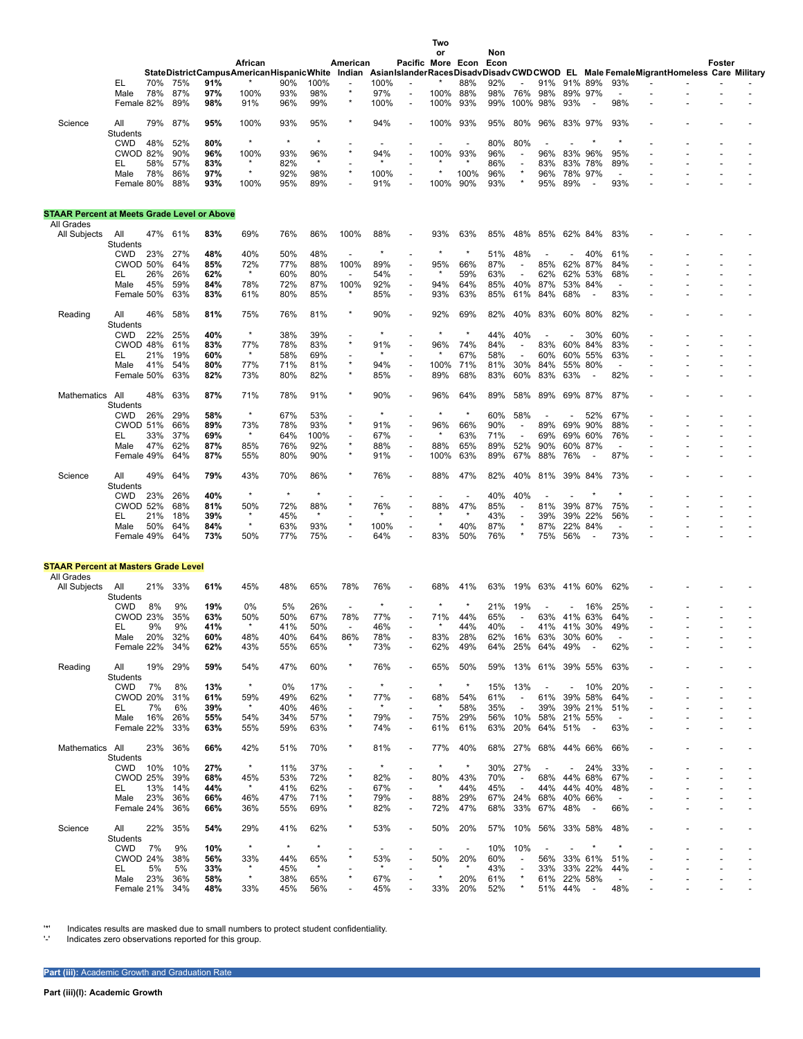|                                                    |                               |         |            |            |                                                                                                                                   |                |                 |                    |            |                          | Two         |                          |             |                                  |                          |                |                          |                          |  |        |  |
|----------------------------------------------------|-------------------------------|---------|------------|------------|-----------------------------------------------------------------------------------------------------------------------------------|----------------|-----------------|--------------------|------------|--------------------------|-------------|--------------------------|-------------|----------------------------------|--------------------------|----------------|--------------------------|--------------------------|--|--------|--|
|                                                    |                               |         |            |            | African                                                                                                                           |                |                 | American           |            | Pacific More Econ        | or          |                          | Non<br>Econ |                                  |                          |                |                          |                          |  | Foster |  |
|                                                    |                               |         |            |            | StateDistrictCampusAmericanHispanicWhite Indian AsianIslanderRacesDisadvDisadvCWDCWOD EL Male FemaleMigrantHomeless Care Military |                |                 |                    |            |                          |             |                          |             |                                  |                          |                |                          |                          |  |        |  |
|                                                    | EL                            | 70%     | 75%        | 91%        |                                                                                                                                   | 90%            | 100%            |                    | 100%       |                          |             | 88%                      | 92%         |                                  | 91%                      | 91% 89%        |                          | 93%                      |  |        |  |
|                                                    | Male                          | 78%     | 87%        | 97%<br>98% | 100%                                                                                                                              | 93%            | 98%             | $\star$            | 97%        |                          | 100%        | 88%                      | 98%         | 76%                              | 98%                      | 89% 97%        |                          | 98%                      |  |        |  |
|                                                    | Female 82%                    |         | 89%        |            | 91%                                                                                                                               | 96%            | 99%             |                    | 100%       |                          | 100%        | 93%                      | 99%         | 100%                             | 98%                      | 93%            |                          |                          |  |        |  |
| Science                                            | All                           | 79%     | 87%        | 95%        | 100%                                                                                                                              | 93%            | 95%             | $\star$            | 94%        |                          | 100%        | 93%                      | 95%         | 80%                              | 96%                      | 83% 97%        |                          | 93%                      |  |        |  |
|                                                    | Students                      |         |            |            |                                                                                                                                   |                |                 |                    |            |                          |             |                          |             |                                  |                          |                |                          |                          |  |        |  |
|                                                    | <b>CWD</b><br><b>CWOD 82%</b> | 48%     | 52%<br>90% | 80%<br>96% | $\star$<br>100%                                                                                                                   | $\star$<br>93% | $^\star$<br>96% | $\star$            | 94%        |                          | 100%        | 93%                      | 80%<br>96%  | 80%                              | 96%                      | 83%            |                          |                          |  |        |  |
|                                                    | EL                            | 58%     | 57%        | 83%        |                                                                                                                                   | 82%            | $^{\star}$      |                    |            |                          |             |                          | 86%         | $\overline{a}$<br>$\overline{a}$ | 83%                      | 83%            | 96%<br>78%               | 95%<br>89%               |  |        |  |
|                                                    | Male                          | 78%     | 86%        | 97%        | $^\star$                                                                                                                          | 92%            | 98%             | $\star$            | 100%       |                          |             | 100%                     | 96%         |                                  | 96%                      | 78% 97%        |                          |                          |  |        |  |
|                                                    | Female 80%                    |         | 88%        | 93%        | 100%                                                                                                                              | 95%            | 89%             |                    | 91%        |                          | 100%        | 90%                      | 93%         |                                  | 95%                      | 89%            | $\overline{\phantom{a}}$ | 93%                      |  |        |  |
|                                                    |                               |         |            |            |                                                                                                                                   |                |                 |                    |            |                          |             |                          |             |                                  |                          |                |                          |                          |  |        |  |
| <b>STAAR Percent at Meets Grade Level or Above</b> |                               |         |            |            |                                                                                                                                   |                |                 |                    |            |                          |             |                          |             |                                  |                          |                |                          |                          |  |        |  |
| All Grades                                         |                               |         |            |            |                                                                                                                                   |                |                 |                    |            |                          |             |                          |             |                                  |                          |                |                          |                          |  |        |  |
| All Subjects                                       | All                           | 47%     | 61%        | 83%        | 69%                                                                                                                               | 76%            | 86%             | 100%               | 88%        |                          | 93%         | 63%                      | 85%         | 48%                              | 85%                      | 62% 84%        |                          | 83%                      |  |        |  |
|                                                    | Students<br><b>CWD</b>        | 23%     | 27%        | 48%        | 40%                                                                                                                               | 50%            | 48%             |                    |            |                          |             |                          | 51%         | 48%                              |                          |                | 40%                      | 61%                      |  |        |  |
|                                                    | <b>CWOD 50%</b>               |         | 64%        | 85%        | 72%                                                                                                                               | 77%            | 88%             | 100%               | 89%        |                          | 95%         | 66%                      | 87%         | $\overline{\phantom{a}}$         | 85%                      | 62%            | 87%                      | 84%                      |  |        |  |
|                                                    | EL                            | 26%     | 26%        | 62%        | $\star$                                                                                                                           | 60%            | 80%             |                    | 54%        |                          |             | 59%                      | 63%         |                                  | 62%                      | 62%            | 53%                      | 68%                      |  |        |  |
|                                                    | Male                          | 45%     | 59%        | 84%        | 78%                                                                                                                               | 72%            | 87%             | 100%               | 92%        | ÷,                       | 94%         | 64%                      | 85%         | 40%                              | 87%                      | 53% 84%        |                          | $\overline{\phantom{a}}$ |  |        |  |
|                                                    | Female 50%                    |         | 63%        | 83%        | 61%                                                                                                                               | 80%            | 85%             | $\star$            | 85%        | ÷,                       | 93%         | 63%                      | 85%         | 61%                              | 84%                      | 68%            | $\overline{\phantom{a}}$ | 83%                      |  |        |  |
|                                                    | All                           | 46%     | 58%        | 81%        | 75%                                                                                                                               | 76%            | 81%             |                    | 90%        |                          | 92%         | 69%                      | 82%         | 40%                              | 83%                      | 60% 80%        |                          | 82%                      |  |        |  |
| Reading                                            | Students                      |         |            |            |                                                                                                                                   |                |                 |                    |            |                          |             |                          |             |                                  |                          |                |                          |                          |  |        |  |
|                                                    | <b>CWD</b>                    | 22%     | 25%        | 40%        | $^\star$                                                                                                                          | 38%            | 39%             |                    |            |                          |             | $\star$                  | 44%         | 40%                              |                          |                | 30%                      | 60%                      |  |        |  |
|                                                    | CWOD 48%                      |         | 61%        | 83%        | 77%                                                                                                                               | 78%            | 83%             | $\star$            | 91%        |                          | 96%         | 74%                      | 84%         | ÷,                               | 83%                      | 60% 84%        |                          | 83%                      |  |        |  |
|                                                    | EL                            | 21%     | 19%        | 60%        | $\star$                                                                                                                           | 58%            | 69%             |                    |            |                          |             | 67%                      | 58%         |                                  | 60%                      | 60% 55%        |                          | 63%                      |  |        |  |
|                                                    | Male                          | 41%     | 54%        | 80%        | 77%                                                                                                                               | 71%            | 81%             | $\star$<br>$\star$ | 94%        | ٠                        | 100%        | 71%                      | 81%         | 30%                              | 84%                      | 55% 80%        |                          | $\overline{a}$           |  |        |  |
|                                                    | Female 50%                    |         | 63%        | 82%        | 73%                                                                                                                               | 80%            | 82%             |                    | 85%        |                          | 89%         | 68%                      | 83%         | 60%                              | 83%                      | 63%            |                          | 82%                      |  |        |  |
| Mathematics                                        | All                           | 48%     | 63%        | 87%        | 71%                                                                                                                               | 78%            | 91%             | $\star$            | 90%        |                          | 96%         | 64%                      | 89%         | 58%                              | 89%                      | 69% 87%        |                          | 87%                      |  |        |  |
|                                                    | Students                      |         |            |            |                                                                                                                                   |                |                 |                    |            |                          |             |                          |             |                                  |                          |                |                          |                          |  |        |  |
|                                                    | <b>CWD</b>                    | 26%     | 29%        | 58%        | $^\star$                                                                                                                          | 67%            | 53%             |                    | $\star$    |                          |             | $\star$                  | 60%         | 58%                              |                          |                | 52%                      | 67%                      |  |        |  |
|                                                    | <b>CWOD 51%</b>               |         | 66%        | 89%        | 73%                                                                                                                               | 78%            | 93%             | $\star$            | 91%        |                          | 96%         | 66%                      | 90%         | $\overline{\phantom{a}}$         | 89%                      | 69%            | 90%                      | 88%                      |  |        |  |
|                                                    | EL                            | 33%     | 37%        | 69%        | $\star$                                                                                                                           | 64%            | 100%            | $\star$            | 67%        |                          |             | 63%                      | 71%         | ÷,                               | 69%                      | 69%            | 60%                      | 76%                      |  |        |  |
|                                                    | Male<br>Female 49%            | 47%     | 62%<br>64% | 87%<br>87% | 85%<br>55%                                                                                                                        | 76%<br>80%     | 92%<br>90%      | $\star$            | 88%<br>91% | ÷,                       | 88%<br>100% | 65%<br>63%               | 89%<br>89%  | 52%<br>67%                       | 90%<br>88%               | 60%<br>76%     | 87%                      | 87%                      |  |        |  |
|                                                    |                               |         |            |            |                                                                                                                                   |                |                 |                    |            |                          |             |                          |             |                                  |                          |                |                          |                          |  |        |  |
| Science                                            | All                           | 49%     | 64%        | 79%        | 43%                                                                                                                               | 70%            | 86%             |                    | 76%        |                          | 88%         | 47%                      | 82%         | 40%                              | 81%                      | 39% 84%        |                          | 73%                      |  |        |  |
|                                                    | Students                      |         |            |            |                                                                                                                                   |                |                 |                    |            |                          |             |                          |             |                                  |                          |                |                          |                          |  |        |  |
|                                                    | <b>CWD</b>                    | 23%     | 26%        | 40%        | $^\star$                                                                                                                          | $\star$        | $^{\star}$      |                    |            |                          |             |                          | 40%         | 40%                              |                          |                |                          |                          |  |        |  |
|                                                    | <b>CWOD 52%</b>               | 21%     | 68%        | 81%        | 50%                                                                                                                               | 72%            | 88%<br>$\star$  |                    | 76%        |                          | 88%         | 47%                      | 85%<br>43%  | $\overline{\phantom{a}}$         | 81%<br>39%               | 39% 87%<br>39% | 22%                      | 75%<br>56%               |  |        |  |
|                                                    | EL<br>Male                    | 50%     | 18%<br>64% | 39%<br>84% | $^\star$                                                                                                                          | 45%<br>63%     | 93%             |                    | 100%       |                          |             | 40%                      | 87%         |                                  | 87%                      | 22%            | 84%                      | $\blacksquare$           |  |        |  |
|                                                    | Female 49%                    |         | 64%        | 73%        | 50%                                                                                                                               | 77%            | 75%             |                    | 64%        |                          | 83%         | 50%                      | 76%         |                                  | 75%                      | 56%            |                          | 73%                      |  |        |  |
|                                                    |                               |         |            |            |                                                                                                                                   |                |                 |                    |            |                          |             |                          |             |                                  |                          |                |                          |                          |  |        |  |
| <b>STAAR Percent at Masters Grade Level</b>        |                               |         |            |            |                                                                                                                                   |                |                 |                    |            |                          |             |                          |             |                                  |                          |                |                          |                          |  |        |  |
| All Grades                                         |                               |         |            |            |                                                                                                                                   |                |                 |                    |            |                          |             |                          |             |                                  |                          |                |                          |                          |  |        |  |
| All Subjects                                       | All                           | 21%     | 33%        | 61%        | 45%                                                                                                                               | 48%            | 65%             | 78%                | 76%        |                          | 68%         | 41%                      | 63%         | 19%                              | 63%                      | 41%            | 60%                      | 62%                      |  |        |  |
|                                                    | <b>Students</b>               |         |            |            |                                                                                                                                   |                |                 |                    |            |                          |             |                          |             |                                  |                          |                |                          |                          |  |        |  |
|                                                    | <b>CWD</b>                    | 8%      | 9%         | 19%        | 0%                                                                                                                                | 5%             | 26%             |                    |            |                          |             |                          | 21%         | 19%                              |                          |                | 16%                      | 25%                      |  |        |  |
|                                                    | <b>CWOD 23%</b>               |         | 35%        | 63%        | 50%<br>$\star$                                                                                                                    | 50%            | 67%             | 78%                | 77%        |                          | 71%         | 44%                      | 65%         | $\overline{\phantom{a}}$         | 63% 41% 63%              |                |                          | 64%                      |  |        |  |
|                                                    | EL.<br>Male 20%               | 9%      | 9%<br>32%  | 41%<br>60% | 48%                                                                                                                               | 41%<br>40%     | 50%<br>64%      | 86%                | 46%<br>78% |                          | 83%         | 44%<br>28%               | 40%<br>62%  |                                  | 41%<br>16% 63% 30% 60%   | 41% 30%        |                          | 49%                      |  |        |  |
|                                                    | Female 22%                    |         | 34%        | 62%        | 43%                                                                                                                               | 55%            | 65%             | $\star$            | 73%        | $\overline{\phantom{a}}$ | 62%         | 49%                      | 64%         | 25%                              | 64%                      | 49%            | $\overline{\phantom{a}}$ | 62%                      |  |        |  |
|                                                    |                               |         |            |            |                                                                                                                                   |                |                 |                    |            |                          |             |                          |             |                                  |                          |                |                          |                          |  |        |  |
| Reading                                            | All                           | 19% 29% |            | 59%        | 54%                                                                                                                               | 47%            | 60%             | ×                  | 76%        |                          | 65%         | 50%                      | 59%         |                                  | 13% 61% 39% 55%          |                |                          | 63%                      |  |        |  |
|                                                    | <b>Students</b><br><b>CWD</b> |         | 8%         |            | $\star$                                                                                                                           | 0%             |                 |                    |            |                          | $\star$     | $\star$                  | 15%         |                                  | $\overline{\phantom{a}}$ |                | 10%                      | 20%                      |  |        |  |
|                                                    | <b>CWOD 20%</b>               | 7%      | 31%        | 13%<br>61% | 59%                                                                                                                               | 49%            | 17%<br>62%      | $\star$            | 77%        |                          | 68%         | 54%                      | 61%         | 13%<br>$\overline{\phantom{a}}$  | 61%                      | 39% 58%        |                          | 64%                      |  |        |  |
|                                                    | EL                            | 7%      | 6%         | 39%        | $\star$                                                                                                                           | 40%            | 46%             |                    | $\star$    |                          |             | 58%                      | 35%         | $\overline{\phantom{a}}$         | 39%                      | 39% 21%        |                          | 51%                      |  |        |  |
|                                                    | Male                          | 16%     | 26%        | 55%        | 54%                                                                                                                               | 34%            | 57%             |                    | 79%        |                          | 75%         | 29%                      | 56%         | 10%                              | 58%                      | 21% 55%        |                          | $\overline{\phantom{a}}$ |  |        |  |
|                                                    | Female 22%                    |         | 33%        | 63%        | 55%                                                                                                                               | 59%            | 63%             | $^{\star}$         | 74%        | $\overline{\phantom{a}}$ | 61%         | 61%                      | 63%         | 20%                              | 64% 51%                  |                | $\sim$                   | 63%                      |  |        |  |
|                                                    |                               |         |            |            |                                                                                                                                   |                |                 |                    |            |                          |             |                          |             |                                  |                          |                |                          |                          |  |        |  |
| Mathematics All                                    | Students                      | 23%     | 36%        | 66%        | 42%                                                                                                                               | 51%            | 70%             |                    | 81%        |                          | 77%         | 40%                      | 68%         | 27%                              | 68% 44% 66%              |                |                          | 66%                      |  |        |  |
|                                                    | CWD                           | 10%     | 10%        | 27%        | $\star$                                                                                                                           | 11%            | 37%             |                    |            |                          |             | $\star$                  | 30%         | 27%                              |                          |                | 24%                      | 33%                      |  |        |  |
|                                                    | <b>CWOD 25%</b>               |         | 39%        | 68%        | 45%                                                                                                                               | 53%            | 72%             | $\star$            | 82%        | $\overline{\phantom{a}}$ | 80%         | 43%                      | 70%         | $\overline{\phantom{a}}$         | 68% 44% 68%              |                |                          | 67%                      |  |        |  |
|                                                    | EL.                           | 13%     | 14%        | 44%        | $\star$                                                                                                                           | 41%            | 62%             |                    | 67%        |                          |             | 44%                      | 45%         | $\overline{\phantom{a}}$         | 44%                      | 44% 40%        |                          | 48%                      |  |        |  |
|                                                    | Male                          | 23%     | 36%        | 66%        | 46%                                                                                                                               | 47%            | 71%             |                    | 79%        | $\overline{\phantom{a}}$ | 88%         | 29%                      | 67%         | 24%                              | 68%                      | 40% 66%        |                          | $\overline{\phantom{a}}$ |  |        |  |
|                                                    | Female 24%                    |         | 36%        | 66%        | 36%                                                                                                                               | 55%            | 69%             | $\star$            | 82%        | ÷,                       | 72%         | 47%                      | 68%         | 33%                              | 67%                      | 48%            | $\overline{\phantom{a}}$ | 66%                      |  |        |  |
| Science                                            | All                           | 22%     | 35%        | 54%        | 29%                                                                                                                               | 41%            | 62%             |                    | 53%        | $\overline{\phantom{a}}$ | 50%         | 20%                      | 57%         | 10%                              | 56%                      | 33% 58%        |                          | 48%                      |  |        |  |
|                                                    | <b>Students</b>               |         |            |            |                                                                                                                                   |                |                 |                    |            |                          |             |                          |             |                                  |                          |                |                          |                          |  |        |  |
|                                                    | <b>CWD</b>                    | 7%      | 9%         | 10%        | $^\star$                                                                                                                          | $\star$        | $\star$         |                    |            |                          |             | $\overline{\phantom{a}}$ | 10%         | 10%                              |                          |                |                          |                          |  |        |  |
|                                                    | CWOD 24%                      |         | 38%        | 56%        | 33%                                                                                                                               | 44%            | 65%             |                    | 53%        |                          | 50%         | 20%                      | 60%         | $\overline{\phantom{a}}$         | 56%                      | 33% 61%        |                          | 51%                      |  |        |  |
|                                                    | EL                            | 5%      | 5%         | 33%        | $\star$                                                                                                                           | 45%            | $_{\star}$      |                    |            |                          |             |                          | 43%         | $\overline{\phantom{a}}$         | 33%                      | 33% 22%        |                          | 44%                      |  |        |  |
|                                                    | Male                          | 23%     | 36%        | 58%        | $\star$                                                                                                                           | 38%            | 65%             |                    | 67%        |                          | $^\star$    | 20%                      | 61%         | *                                | 61% 22% 58%              |                |                          | $\overline{\phantom{a}}$ |  |        |  |
|                                                    | Female 21%                    |         | 34%        | 48%        | 33%                                                                                                                               | 45%            | 56%             |                    | 45%        | $\overline{\phantom{a}}$ | 33%         | 20%                      | 52%         |                                  | 51% 44%                  |                | $\overline{\phantom{a}}$ | 48%                      |  |        |  |

'\*' Indicates results are masked due to small numbers to protect student confidentiality. '-' Indicates zero observations reported for this group.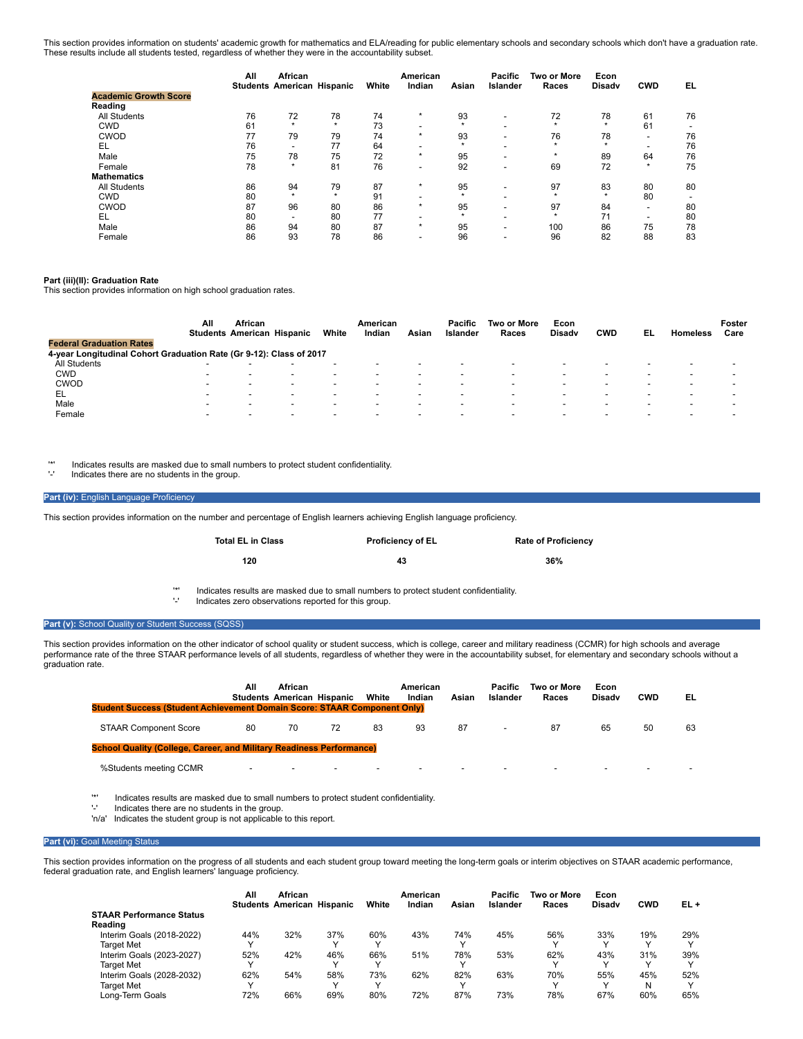This section provides information on students' academic growth for mathematics and ELA/reading for public elementary schools and secondary schools which don't have a graduation rate. These results include all students tested, regardless of whether they were in the accountability subset.

|                              | All | African<br><b>Students American Hispanic</b> |         | White | American<br>Indian       | Asian   | <b>Pacific</b><br>Islander | Two or More<br>Races | Econ<br><b>Disadv</b> | <b>CWD</b>               | EL |
|------------------------------|-----|----------------------------------------------|---------|-------|--------------------------|---------|----------------------------|----------------------|-----------------------|--------------------------|----|
| <b>Academic Growth Score</b> |     |                                              |         |       |                          |         |                            |                      |                       |                          |    |
| Reading                      |     |                                              |         |       |                          |         |                            |                      |                       |                          |    |
| <b>All Students</b>          | 76  | 72                                           | 78      | 74    | $\star$                  | 93      | $\overline{\phantom{a}}$   | 72                   | 78                    | 61                       | 76 |
| <b>CWD</b>                   | 61  | $\star$                                      | $\star$ | 73    | $\overline{\phantom{0}}$ | $\star$ | -                          |                      | $\star$               | 61                       | -  |
| <b>CWOD</b>                  | 77  | 79                                           | 79      | 74    | $\star$                  | 93      |                            | 76                   | 78                    | -                        | 76 |
| EL                           | 76  | $\overline{\phantom{0}}$                     | 77      | 64    | $\overline{\phantom{0}}$ |         |                            |                      | $\star$               | $\overline{\phantom{0}}$ | 76 |
| Male                         | 75  | 78                                           | 75      | 72    | $\star$                  | 95      |                            | $\star$              | 89                    | 64                       | 76 |
| Female                       | 78  | $\star$                                      | 81      | 76    | $\overline{\phantom{a}}$ | 92      | $\overline{\phantom{a}}$   | 69                   | 72                    | $\star$                  | 75 |
| <b>Mathematics</b>           |     |                                              |         |       |                          |         |                            |                      |                       |                          |    |
| <b>All Students</b>          | 86  | 94                                           | 79      | 87    | $\star$                  | 95      |                            | 97                   | 83                    | 80                       | 80 |
| <b>CWD</b>                   | 80  | $\star$                                      | $\star$ | 91    | $\overline{\phantom{0}}$ | $\star$ |                            | $\star$              | $\star$               | 80                       |    |
| <b>CWOD</b>                  | 87  | 96                                           | 80      | 86    | $\star$                  | 95      |                            | 97                   | 84                    | -                        | 80 |
| EL                           | 80  | $\overline{\phantom{0}}$                     | 80      | 77    |                          |         |                            |                      | 71                    |                          | 80 |
| Male                         | 86  | 94                                           | 80      | 87    | $\star$                  | 95      | $\overline{\phantom{0}}$   | 100                  | 86                    | 75                       | 78 |
| Female                       | 86  | 93                                           | 78      | 86    | $\overline{\phantom{0}}$ | 96      |                            | 96                   | 82                    | 88                       | 83 |

### **Part (iii)(II): Graduation Rate**

This section provides information on high school graduation rates.

|                                                                     | All                      | African                  | <b>Students American Hispanic</b> | White                    | American<br>Indian       | Asian                    | <b>Pacific</b><br>Islander | Two or More<br>Races | Econ<br><b>Disady</b>    | <b>CWD</b>               | EL                       | <b>Homeless</b>          | Foster<br>Care           |
|---------------------------------------------------------------------|--------------------------|--------------------------|-----------------------------------|--------------------------|--------------------------|--------------------------|----------------------------|----------------------|--------------------------|--------------------------|--------------------------|--------------------------|--------------------------|
| <b>Federal Graduation Rates</b>                                     |                          |                          |                                   |                          |                          |                          |                            |                      |                          |                          |                          |                          |                          |
| 4-year Longitudinal Cohort Graduation Rate (Gr 9-12): Class of 2017 |                          |                          |                                   |                          |                          |                          |                            |                      |                          |                          |                          |                          |                          |
| <b>All Students</b>                                                 | $\overline{\phantom{a}}$ |                          |                                   |                          | $\blacksquare$           |                          | -                          |                      |                          |                          |                          | $\overline{\phantom{a}}$ | $\,$                     |
| <b>CWD</b>                                                          | $\overline{\phantom{a}}$ |                          |                                   |                          | -                        | $\overline{\phantom{a}}$ |                            |                      |                          | -                        |                          | $\overline{\phantom{a}}$ |                          |
| <b>CWOD</b>                                                         | $\overline{\phantom{0}}$ |                          | $\overline{\phantom{a}}$          | $\overline{\phantom{0}}$ | -                        |                          | -                          |                      | $\overline{\phantom{0}}$ | -                        |                          | $\overline{\phantom{a}}$ | $\,$                     |
| EL                                                                  | $\overline{\phantom{0}}$ |                          | ۰                                 | $\overline{\phantom{0}}$ | $\overline{\phantom{0}}$ | $\overline{\phantom{a}}$ | -                          |                      | $\overline{\phantom{0}}$ | -                        |                          | $\overline{\phantom{a}}$ |                          |
| Male                                                                |                          |                          | $\overline{\phantom{0}}$          |                          | $\overline{\phantom{0}}$ |                          | -                          |                      |                          | -                        |                          |                          | $\overline{\phantom{0}}$ |
| Female                                                              | $\overline{\phantom{a}}$ | $\overline{\phantom{a}}$ | $\,$                              | $\overline{\phantom{a}}$ | $\overline{\phantom{a}}$ | $\,$                     | $\overline{\phantom{0}}$   |                      | $\overline{\phantom{a}}$ | $\overline{\phantom{0}}$ | $\overline{\phantom{a}}$ | $\overline{\phantom{a}}$ | $\,$                     |

'\*' Indicates results are masked due to small numbers to protect student confidentiality.

Indicates there are no students in the group.

## Part (iv): English Language Proficiency

This section provides information on the number and percentage of English learners achieving English language proficiency.

| Total EL in Class | <b>Proficiency of EL</b> | <b>Rate of Proficiency</b> |
|-------------------|--------------------------|----------------------------|
| 120               | 43                       | 36%                        |

'\*' Indicates results are masked due to small numbers to protect student confidentiality.

Indicates zero observations reported for this group.

#### **Part (v):** School Quality or Student Success (SQSS)

This section provides information on the other indicator of school quality or student success, which is college, career and military readiness (CCMR) for high schools and average performance rate of the three STAAR performance levels of all students, regardless of whether they were in the accountability subset, for elementary and secondary schools without a graduation rate.

| <b>Student Success (Student Achievement Domain Score: STAAR Component Only)</b> | All                      | African<br><b>Students American Hispanic</b> |                          | White                    | American<br>Indian | Asian | Pacific<br>Islander      | Two or More<br>Races | Econ<br><b>Disady</b> | <b>CWD</b>               | EL |
|---------------------------------------------------------------------------------|--------------------------|----------------------------------------------|--------------------------|--------------------------|--------------------|-------|--------------------------|----------------------|-----------------------|--------------------------|----|
| <b>STAAR Component Score</b>                                                    | 80                       | 70                                           | 72                       | 83                       | 93                 | 87    | $\overline{\phantom{a}}$ | 87                   | 65                    | 50                       | 63 |
| <b>School Quality (College, Career, and Military Readiness Performance)</b>     |                          |                                              |                          |                          |                    |       |                          |                      |                       |                          |    |
| %Students meeting CCMR                                                          | $\overline{\phantom{a}}$ | $\overline{\phantom{0}}$                     | $\overline{\phantom{a}}$ | $\overline{\phantom{a}}$ |                    |       |                          |                      |                       | $\overline{\phantom{a}}$ |    |
|                                                                                 |                          |                                              |                          |                          |                    |       |                          |                      |                       |                          |    |

'\*' Indicates results are masked due to small numbers to protect student confidentiality.

'-' Indicates there are no students in the group. 'n/a' Indicates the student group is not applicable to this report.

#### **Part (vi): Goal Meeting Status**

This section provides information on the progress of all students and each student group toward meeting the long-term goals or interim objectives on STAAR academic performance, federal graduation rate, and English learners' language proficiency.

|                                 | All          | African<br><b>Students American Hispanic</b> |     | White | American<br>Indian | Asian | Pacific<br>Islander | <b>Two or More</b><br>Races | Econ<br><b>Disady</b> | <b>CWD</b> | EL+ |
|---------------------------------|--------------|----------------------------------------------|-----|-------|--------------------|-------|---------------------|-----------------------------|-----------------------|------------|-----|
| <b>STAAR Performance Status</b> |              |                                              |     |       |                    |       |                     |                             |                       |            |     |
| Reading                         |              |                                              |     |       |                    |       |                     |                             |                       |            |     |
| Interim Goals (2018-2022)       | 44%          | 32%                                          | 37% | 60%   | 43%                | 74%   | 45%                 | 56%                         | 33%                   | 19%        | 29% |
| <b>Target Met</b>               | $\checkmark$ |                                              |     |       |                    |       |                     |                             |                       |            |     |
| Interim Goals (2023-2027)       | 52%          | 42%                                          | 46% | 66%   | 51%                | 78%   | 53%                 | 62%                         | 43%                   | 31%        | 39% |
| <b>Target Met</b>               | $\checkmark$ |                                              |     |       |                    |       |                     |                             |                       |            |     |
| Interim Goals (2028-2032)       | 62%          | 54%                                          | 58% | 73%   | 62%                | 82%   | 63%                 | 70%                         | 55%                   | 45%        | 52% |
| <b>Target Met</b>               | $\checkmark$ |                                              |     |       |                    |       |                     |                             |                       | N          |     |
| Long-Term Goals                 | 72%          | 66%                                          | 69% | 80%   | 72%                | 87%   | 73%                 | 78%                         | 67%                   | 60%        | 65% |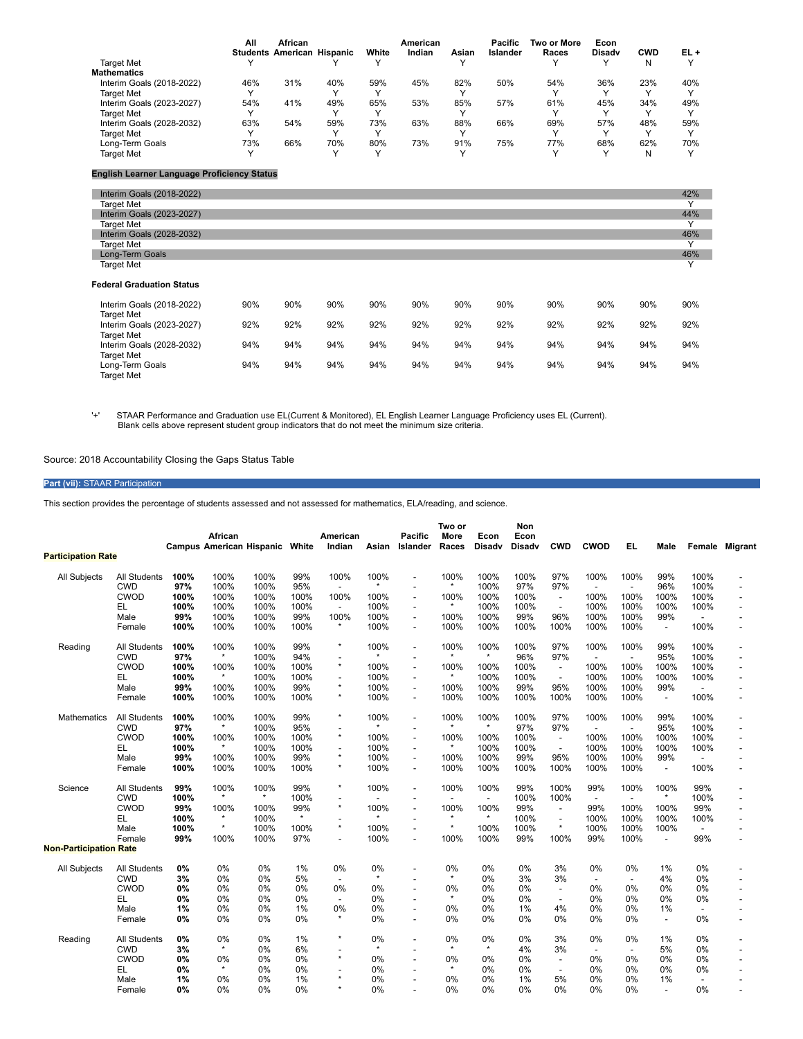|                           | All | African                           |     |       | American |       | <b>Pacific</b> | Two or More | Econ          |            |     |
|---------------------------|-----|-----------------------------------|-----|-------|----------|-------|----------------|-------------|---------------|------------|-----|
|                           |     | <b>Students American Hispanic</b> |     | White | Indian   | Asian | Islander       | Races       | <b>Disady</b> | <b>CWD</b> | EL+ |
| <b>Target Met</b>         |     |                                   |     |       |          |       |                |             |               | N          |     |
| <b>Mathematics</b>        |     |                                   |     |       |          |       |                |             |               |            |     |
| Interim Goals (2018-2022) | 46% | 31%                               | 40% | 59%   | 45%      | 82%   | 50%            | 54%         | 36%           | 23%        | 40% |
| Target Met                |     |                                   |     |       |          |       |                |             |               |            |     |
| Interim Goals (2023-2027) | 54% | 41%                               | 49% | 65%   | 53%      | 85%   | 57%            | 61%         | 45%           | 34%        | 49% |
| Target Met                |     |                                   |     |       |          |       |                |             |               |            |     |
| Interim Goals (2028-2032) | 63% | 54%                               | 59% | 73%   | 63%      | 88%   | 66%            | 69%         | 57%           | 48%        | 59% |
| Target Met                |     |                                   |     |       |          |       |                |             |               |            |     |
| Long-Term Goals           | 73% | 66%                               | 70% | 80%   | 73%      | 91%   | 75%            | 77%         | 68%           | 62%        | 70% |
| <b>Target Met</b>         |     |                                   |     |       |          |       |                |             |               | N          |     |

# **English Learner Language Proficiency Status**

| Interim Goals (2018-2022)        |     |     |     |     |     |     |     |     |     |     | 42%          |
|----------------------------------|-----|-----|-----|-----|-----|-----|-----|-----|-----|-----|--------------|
|                                  |     |     |     |     |     |     |     |     |     |     |              |
| <b>Target Met</b>                |     |     |     |     |     |     |     |     |     |     | v            |
| Interim Goals (2023-2027)        |     |     |     |     |     |     |     |     |     |     | 44%          |
| <b>Target Met</b>                |     |     |     |     |     |     |     |     |     |     | $\checkmark$ |
| Interim Goals (2028-2032)        |     |     |     |     |     |     |     |     |     |     | 46%          |
| <b>Target Met</b>                |     |     |     |     |     |     |     |     |     |     | $\checkmark$ |
| Long-Term Goals                  |     |     |     |     |     |     |     |     |     |     | 46%          |
| <b>Target Met</b>                |     |     |     |     |     |     |     |     |     |     | $\checkmark$ |
|                                  |     |     |     |     |     |     |     |     |     |     |              |
| <b>Federal Graduation Status</b> |     |     |     |     |     |     |     |     |     |     |              |
| Interim Goals (2018-2022)        | 90% | 90% | 90% | 90% | 90% | 90% | 90% | 90% | 90% | 90% | 90%          |
| <b>Target Met</b>                |     |     |     |     |     |     |     |     |     |     |              |
| Interim Goals (2023-2027)        | 92% | 92% | 92% | 92% | 92% | 92% | 92% | 92% | 92% | 92% | 92%          |
| <b>Target Met</b>                |     |     |     |     |     |     |     |     |     |     |              |
| Interim Goals (2028-2032)        | 94% | 94% | 94% | 94% | 94% | 94% | 94% | 94% | 94% | 94% | 94%          |
| <b>Target Met</b>                |     |     |     |     |     |     |     |     |     |     |              |
| Long-Term Goals                  | 94% | 94% | 94% | 94% | 94% | 94% | 94% | 94% | 94% | 94% | 94%          |
| <b>Target Met</b>                |     |     |     |     |     |     |     |     |     |     |              |
|                                  |     |     |     |     |     |     |     |     |     |     |              |

'+' STAAR Performance and Graduation use EL(Current & Monitored), EL English Learner Language Proficiency uses EL (Current). Blank cells above represent student group indicators that do not meet the minimum size criteria.

Source: 2018 Accountability Closing the Gaps Status Table

# **Part (vii):** STAAR Participation

This section provides the percentage of students assessed and not assessed for mathematics, ELA/reading, and science.

|                               |                     |       | African<br><b>Campus American Hispanic White</b> |         |         | American        |                 | Pacific                  | Two or<br>More  | Econ<br><b>Disady</b>    | Non<br>Econ<br><b>Disadv</b> | <b>CWD</b>               | <b>CWOD</b>    | EL.                      |                          |                          |                       |
|-------------------------------|---------------------|-------|--------------------------------------------------|---------|---------|-----------------|-----------------|--------------------------|-----------------|--------------------------|------------------------------|--------------------------|----------------|--------------------------|--------------------------|--------------------------|-----------------------|
| <b>Participation Rate</b>     |                     |       |                                                  |         |         | Indian          | Asian           | Islander                 | Races           |                          |                              |                          |                |                          | Male                     |                          | <b>Female Migrant</b> |
|                               |                     |       |                                                  |         |         |                 |                 |                          | 100%            |                          |                              | 97%                      |                |                          |                          |                          |                       |
| <b>All Subjects</b>           | All Students        | 100%  | 100%                                             | 100%    | 99%     | 100%            | 100%<br>$\star$ |                          |                 | 100%                     | 100%                         |                          | 100%           | 100%                     | 99%                      | 100%                     |                       |
|                               | <b>CWD</b>          | 97%   | 100%                                             | 100%    | 95%     | $\overline{a}$  |                 |                          |                 | 100%                     | 97%                          | 97%                      |                | $\overline{a}$           | 96%                      | 100%                     |                       |
|                               | <b>CWOD</b>         | 100%  | 100%                                             | 100%    | 100%    | 100%            | 100%            |                          | 100%<br>$\star$ | 100%                     | 100%                         | $\blacksquare$           | 100%           | 100%                     | 100%                     | 100%                     |                       |
|                               | EL.                 | 100%  | 100%                                             | 100%    | 100%    | $\blacksquare$  | 100%            | $\blacksquare$           |                 | 100%                     | 100%                         | $\overline{\phantom{a}}$ | 100%           | 100%                     | 100%                     | 100%                     |                       |
|                               | Male                | 99%   | 100%                                             | 100%    | 99%     | 100%<br>$\star$ | 100%            |                          | 100%            | 100%                     | 99%                          | 96%                      | 100%           | 100%                     | 99%                      |                          |                       |
|                               | Female              | 100%  | 100%                                             | 100%    | 100%    |                 | 100%            | $\blacksquare$           | 100%            | 100%                     | 100%                         | 100%                     | 100%           | 100%                     | $\overline{\phantom{a}}$ | 100%                     |                       |
| Reading                       | <b>All Students</b> | 100%  | 100%                                             | 100%    | 99%     | $\star$         | 100%            | $\overline{\phantom{a}}$ | 100%            | 100%                     | 100%                         | 97%                      | 100%           | 100%                     | 99%                      | 100%                     |                       |
|                               | <b>CWD</b>          | 97%   | $\star$                                          | 100%    | 94%     |                 | ÷               |                          | ٠               | $\star$                  | 96%                          | 97%                      | $\blacksquare$ | $\overline{a}$           | 95%                      | 100%                     |                       |
|                               | CWOD                | 100%  | 100%                                             | 100%    | 100%    | $\star$         | 100%            |                          | 100%            | 100%                     | 100%                         | $\overline{\phantom{a}}$ | 100%           | 100%                     | 100%                     | 100%                     |                       |
|                               | EL                  | 100%  | $\star$                                          | 100%    | 100%    | $\overline{a}$  | 100%            | $\sim$                   |                 | 100%                     | 100%                         | $\overline{\phantom{a}}$ | 100%           | 100%                     | 100%                     | 100%                     |                       |
|                               | Male                | 99%   | 100%                                             | 100%    | 99%     | $\star$         | 100%            |                          | 100%            | 100%                     | 99%                          | 95%                      | 100%           | 100%                     | 99%                      |                          |                       |
|                               | Female              | 100%  | 100%                                             | 100%    | 100%    | $^{\star}$      | 100%            | $\sim$                   | 100%            | 100%                     | 100%                         | 100%                     | 100%           | 100%                     | $\sim$                   | 100%                     |                       |
| <b>Mathematics</b>            | <b>All Students</b> | 100%  | 100%                                             | 100%    | 99%     | $\star$         | 100%            | $\blacksquare$           | 100%            | 100%                     | 100%                         | 97%                      | 100%           | 100%                     | 99%                      | 100%                     |                       |
|                               | <b>CWD</b>          | 97%   | $\star$                                          | 100%    | 95%     | $\overline{a}$  |                 |                          |                 | $^\star$                 | 97%                          | 97%                      |                | $\overline{a}$           | 95%                      | 100%                     |                       |
|                               | CWOD                | 100%  | 100%                                             | 100%    | 100%    | $\star$         | 100%            |                          | 100%            | 100%                     | 100%                         | $\blacksquare$           | 100%           | 100%                     | 100%                     | 100%                     |                       |
|                               | EL                  | 100%  | $\star$                                          | 100%    | 100%    | $\overline{a}$  | 100%            | $\sim$                   | $\star$         | 100%                     | 100%                         | $\sim$                   | 100%           | 100%                     | 100%                     | 100%                     |                       |
|                               | Male                | 99%   | 100%                                             | 100%    | 99%     | $^{\star}$      | 100%            |                          | 100%            | 100%                     | 99%                          | 95%                      | 100%           | 100%                     | 99%                      |                          |                       |
|                               | Female              | 100%  | 100%                                             | 100%    | 100%    | $\star$         | 100%            |                          | 100%            | 100%                     | 100%                         | 100%                     | 100%           | 100%                     | $\overline{\phantom{a}}$ | 100%                     |                       |
| Science                       | <b>All Students</b> | 99%   | 100%                                             | 100%    | 99%     | $^\star$        | 100%            |                          | 100%            | 100%                     | 99%                          | 100%                     | 99%            | 100%                     | 100%                     | 99%                      |                       |
|                               | <b>CWD</b>          | 100%  | $\star$                                          | $\star$ | 100%    | ÷,              |                 |                          |                 | $\overline{\phantom{a}}$ | 100%                         | 100%                     | $\overline{a}$ |                          | $\star$                  | 100%                     |                       |
|                               | CWOD                | 99%   | 100%                                             | 100%    | 99%     | $\star$         | 100%            |                          | 100%            | 100%                     | 99%                          | $\overline{a}$           | 99%            | 100%                     | 100%                     | 99%                      |                       |
|                               | EL.                 | 100%  | $\star$                                          | 100%    | $\star$ |                 |                 |                          |                 | $^\star$                 | 100%                         | $\overline{\phantom{a}}$ | 100%           | 100%                     | 100%                     | 100%                     |                       |
|                               | Male                | 100%  | $\star$                                          | 100%    | 100%    | $\star$         | 100%            |                          | $\star$         | 100%                     | 100%                         | $^\star$                 | 100%           | 100%                     | 100%                     | $\blacksquare$           |                       |
|                               | Female              | 99%   | 100%                                             | 100%    | 97%     | $\overline{a}$  | 100%            |                          | 100%            | 100%                     | 99%                          | 100%                     | 99%            | 100%                     | $\overline{a}$           | 99%                      |                       |
| <b>Non-Participation Rate</b> |                     |       |                                                  |         |         |                 |                 |                          |                 |                          |                              |                          |                |                          |                          |                          |                       |
| <b>All Subjects</b>           | All Students        | 0%    | 0%                                               | 0%      | 1%      | 0%              | 0%              |                          | 0%              | 0%                       | 0%                           | 3%                       | 0%             | 0%                       | 1%                       | 0%                       |                       |
|                               | <b>CWD</b>          | 3%    | 0%                                               | 0%      | 5%      | $\overline{a}$  | $\star$         |                          | $^\star$        | 0%                       | 3%                           | 3%                       |                | $\overline{\phantom{a}}$ | 4%                       | 0%                       |                       |
|                               | <b>CWOD</b>         | 0%    | 0%                                               | 0%      | 0%      | 0%              | 0%              |                          | 0%              | 0%                       | 0%                           |                          | 0%             | 0%                       | 0%                       | 0%                       |                       |
|                               | EL                  | 0%    | 0%                                               | 0%      | 0%      | $\overline{a}$  | 0%              |                          | $\star$         | 0%                       | 0%                           | $\overline{\phantom{a}}$ | 0%             | 0%                       | 0%                       | 0%                       |                       |
|                               | Male                | 1%    | 0%                                               | 0%      | 1%      | 0%              | 0%              |                          | 0%              | 0%                       | 1%                           | 4%                       | 0%             | 0%                       | 1%                       | $\overline{\phantom{0}}$ |                       |
|                               | Female              | 0%    | 0%                                               | 0%      | 0%      | *               | 0%              |                          | 0%              | 0%                       | 0%                           | $0\%$                    | 0%             | 0%                       | $\overline{a}$           | 0%                       |                       |
|                               |                     |       |                                                  |         |         |                 |                 |                          |                 |                          |                              |                          |                |                          |                          |                          |                       |
| Reading                       | <b>All Students</b> | $0\%$ | 0%                                               | 0%      | 1%      | *               | 0%              |                          | 0%              | 0%                       | 0%                           | 3%                       | 0%             | 0%                       | 1%                       | 0%                       |                       |
|                               | <b>CWD</b>          | 3%    | $\star$                                          | 0%      | 6%      | $\overline{a}$  | $\star$         |                          | $\star$         | $\star$                  | 4%                           | 3%                       |                | $\overline{\phantom{a}}$ | 5%                       | 0%                       |                       |
|                               | CWOD                | 0%    | 0%                                               | 0%      | 0%      | $\star$         | 0%              |                          | 0%              | 0%                       | 0%                           | $\overline{\phantom{a}}$ | 0%             | 0%                       | 0%                       | 0%                       |                       |
|                               | EL                  | 0%    | $\star$                                          | 0%      | 0%      | $\overline{a}$  | 0%              |                          | $\star$         | 0%                       | 0%                           | $\blacksquare$           | 0%             | 0%                       | 0%                       | 0%                       |                       |
|                               | Male                | 1%    | 0%                                               | 0%      | 1%      | $\star$         | 0%              |                          | 0%              | 0%                       | 1%                           | 5%                       | 0%             | 0%                       | 1%                       |                          |                       |
|                               | Female              | 0%    | 0%                                               | 0%      | 0%      | $\star$         | 0%              |                          | 0%              | 0%                       | 0%                           | $0\%$                    | 0%             | 0%                       | $\overline{a}$           | 0%                       |                       |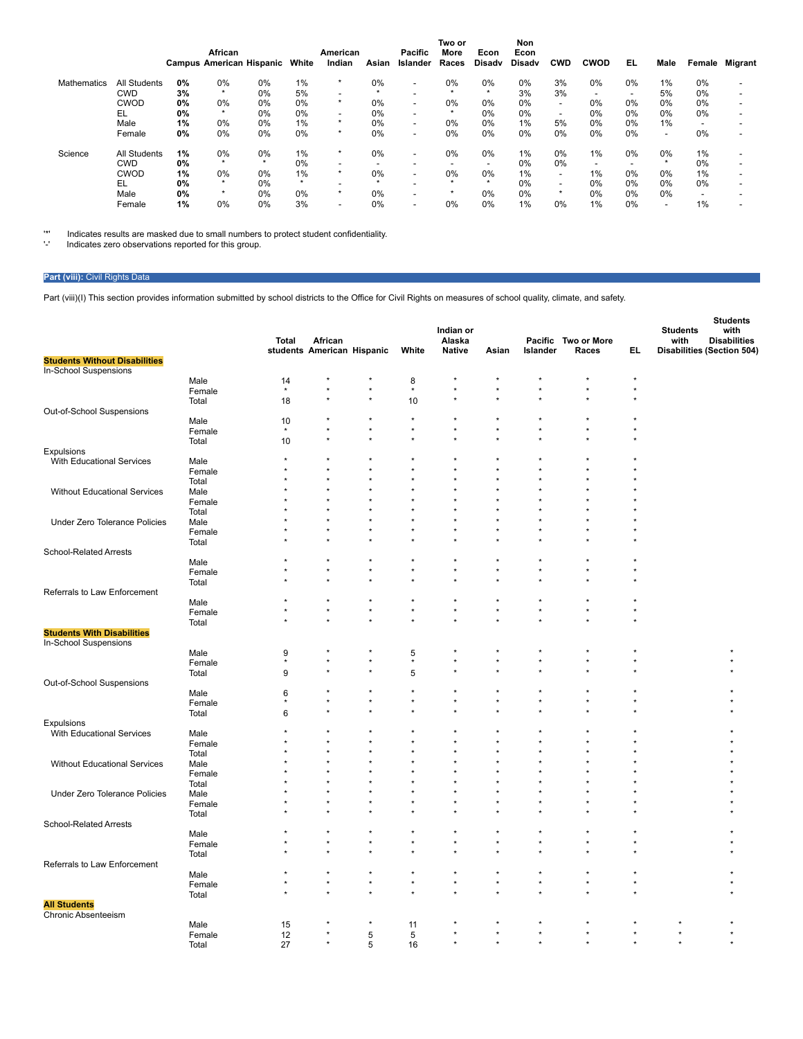|             |                     |    | African |                                 |         | American |         | <b>Pacific</b>           | Two or<br>More           | Econ                     | Non<br>Econ   |                          |             |                          |                          |        |                |
|-------------|---------------------|----|---------|---------------------------------|---------|----------|---------|--------------------------|--------------------------|--------------------------|---------------|--------------------------|-------------|--------------------------|--------------------------|--------|----------------|
|             |                     |    |         | <b>Campus American Hispanic</b> | White   | Indian   | Asian   | Islander                 | Races                    | Disadv                   | <b>Disady</b> | <b>CWD</b>               | <b>CWOD</b> | EL                       | Male                     | Female | <b>Migrant</b> |
| Mathematics | <b>All Students</b> | 0% | 0%      | 0%                              | $1\%$   | $^\star$ | 0%      | $\overline{\phantom{0}}$ | 0%                       | 0%                       | $0\%$         | 3%                       | $0\%$       | 0%                       | 1%                       | 0%     |                |
|             | CWD                 | 3% | $\star$ | 0%                              | 5%      | -        | $\star$ |                          | $\star$                  | $\star$                  | 3%            | 3%                       |             | $\overline{\phantom{0}}$ | 5%                       | 0%     |                |
|             | <b>CWOD</b>         | 0% | 0%      | 0%                              | $0\%$   | ÷        | 0%      | $\sim$                   | 0%                       | 0%                       | 0%            | $\overline{\phantom{0}}$ | 0%          | 0%                       | 0%                       | 0%     |                |
|             | EL                  | 0% | $\star$ | 0%                              | $0\%$   |          | 0%      | $\overline{\phantom{0}}$ | $\star$                  | 0%                       | $0\%$         | $\overline{\phantom{a}}$ | 0%          | $0\%$                    | 0%                       | 0%     |                |
|             | Male                | 1% | 0%      | 0%                              | $1\%$   | $\star$  | 0%      | $\overline{\phantom{a}}$ | 0%                       | 0%                       | $1\%$         | 5%                       | 0%          | 0%                       | 1%                       | -      |                |
|             | Female              | 0% | 0%      | 0%                              | $0\%$   | $\star$  | 0%      | $\overline{\phantom{a}}$ | 0%                       | 0%                       | 0%            | 0%                       | 0%          | 0%                       | $\overline{\phantom{a}}$ | 0%     |                |
| Science     | <b>All Students</b> | 1% | 0%      | 0%                              | 1%      | $^\star$ | 0%      | $\,$                     | 0%                       | 0%                       | $1\%$         | 0%                       | 1%          | 0%                       | $0\%$                    | 1%     |                |
|             | <b>CWD</b>          | 0% | $\star$ | $\star$                         | 0%      | -        |         | $\overline{\phantom{a}}$ | $\overline{\phantom{0}}$ | $\overline{\phantom{0}}$ | 0%            | 0%                       |             | $\overline{\phantom{0}}$ | $\star$                  | 0%     |                |
|             | <b>CWOD</b>         | 1% | 0%      | 0%                              | 1%      |          | $0\%$   | $\overline{\phantom{0}}$ | 0%                       | 0%                       | 1%            | $\overline{\phantom{a}}$ | 1%          | $0\%$                    | 0%                       | 1%     |                |
|             | EL                  | 0% | $\star$ | 0%                              | $\star$ |          |         |                          | $\star$                  | $\star$                  | 0%            | $\overline{\phantom{a}}$ | 0%          | 0%                       | 0%                       | 0%     |                |
|             | Male                | 0% | $\star$ | 0%                              | $0\%$   | $\star$  | 0%      | $\overline{\phantom{0}}$ | $\star$                  | 0%                       | $0\%$         | $\star$                  | 0%          | $0\%$                    | 0%                       | -      |                |
|             | Female              | 1% | 0%      | 0%                              | 3%      | -        | 0%      | $\,$                     | 0%                       | 0%                       | 1%            | $0\%$                    | 1%          | 0%                       | $\overline{\phantom{0}}$ | 1%     |                |

'\*' Indicates results are masked due to small numbers to protect student confidentiality.<br>'-' Indicates zero observations reported for this group.

# **Part (viii):** Civil Rights Data

Part (viii)(I) This section provides information submitted by school districts to the Office for Civil Rights on measures of school quality, climate, and safety.

|                                                            |                | Total   | African                    |         |                | Indian or<br>Alaska |         |          | Pacific Two or More |         | <b>Students</b><br>with           | <b>Students</b><br>with<br><b>Disabilities</b> |
|------------------------------------------------------------|----------------|---------|----------------------------|---------|----------------|---------------------|---------|----------|---------------------|---------|-----------------------------------|------------------------------------------------|
| <b>Students Without Disabilities</b>                       |                |         | students American Hispanic |         | White          | <b>Native</b>       | Asian   | Islander | Races               | EL.     | <b>Disabilities (Section 504)</b> |                                                |
| In-School Suspensions                                      |                |         |                            |         |                |                     |         |          |                     |         |                                   |                                                |
|                                                            | Male           | 14      |                            |         | 8              |                     |         |          |                     | $\star$ |                                   |                                                |
|                                                            | Female         | $\star$ |                            |         |                |                     |         |          |                     |         |                                   |                                                |
|                                                            | Total          | 18      |                            |         | 10             |                     |         |          |                     |         |                                   |                                                |
| Out-of-School Suspensions                                  |                |         |                            |         |                |                     |         |          |                     |         |                                   |                                                |
|                                                            | Male           | 10      |                            |         |                |                     |         |          |                     |         |                                   |                                                |
|                                                            | Female         | $\star$ |                            |         |                |                     |         |          |                     |         |                                   |                                                |
|                                                            | Total          | 10      |                            |         |                |                     |         |          |                     |         |                                   |                                                |
| Expulsions                                                 |                |         |                            |         |                |                     |         |          |                     |         |                                   |                                                |
| With Educational Services                                  | Male<br>Female |         |                            |         |                |                     |         |          |                     |         |                                   |                                                |
|                                                            | Total          |         |                            |         |                |                     |         |          |                     |         |                                   |                                                |
| <b>Without Educational Services</b>                        | Male           |         |                            |         |                |                     |         | ٠        |                     |         |                                   |                                                |
|                                                            | Female         |         |                            |         |                |                     |         |          |                     |         |                                   |                                                |
|                                                            | Total          |         |                            |         |                |                     |         |          |                     |         |                                   |                                                |
| Under Zero Tolerance Policies                              | Male           |         |                            |         |                |                     |         |          |                     |         |                                   |                                                |
|                                                            | Female         |         |                            |         |                | ٠                   |         |          |                     |         |                                   |                                                |
|                                                            | Total          |         |                            |         |                |                     |         |          |                     |         |                                   |                                                |
| <b>School-Related Arrests</b>                              |                |         |                            |         |                |                     |         |          |                     |         |                                   |                                                |
|                                                            | Male           |         |                            |         |                |                     |         |          |                     |         |                                   |                                                |
|                                                            | Female         |         |                            |         |                |                     |         |          |                     |         |                                   |                                                |
|                                                            | Total          |         |                            |         |                |                     |         |          |                     |         |                                   |                                                |
| Referrals to Law Enforcement                               |                |         |                            |         |                |                     |         |          |                     |         |                                   |                                                |
|                                                            | Male           |         | $^\star$                   | $\star$ | $\star$        | $\star$             | $\star$ | $\star$  |                     |         |                                   |                                                |
|                                                            | Female         | ÷       |                            |         |                |                     |         |          |                     |         |                                   |                                                |
|                                                            | Total          |         |                            |         |                |                     |         |          |                     |         |                                   |                                                |
| <b>Students With Disabilities</b><br>In-School Suspensions |                |         |                            |         |                |                     |         |          |                     |         |                                   |                                                |
|                                                            | Male           | 9       |                            |         | 5              |                     |         |          |                     |         |                                   |                                                |
|                                                            | Female         | $\star$ |                            |         | $^\star$       | $\star$             | $\star$ | $\star$  |                     |         |                                   |                                                |
|                                                            | Total          | 9       |                            |         | 5              |                     |         |          |                     |         |                                   |                                                |
| Out-of-School Suspensions                                  |                |         |                            |         |                |                     |         |          |                     |         |                                   |                                                |
|                                                            | Male           | 6       |                            |         |                | $\star$             |         |          |                     |         |                                   |                                                |
|                                                            | Female         | $\star$ | $\star$                    | $\star$ | $\star$        | $\star$             | $\star$ | $\star$  | ٠                   |         |                                   |                                                |
|                                                            | Total          | 6       |                            |         |                |                     |         |          |                     |         |                                   |                                                |
| Expulsions                                                 |                |         |                            |         |                |                     |         |          |                     |         |                                   |                                                |
| With Educational Services                                  | Male           |         |                            |         |                |                     |         |          |                     |         |                                   |                                                |
|                                                            | Female         |         |                            |         |                |                     |         |          |                     |         |                                   |                                                |
|                                                            | Total          |         |                            |         |                |                     |         |          |                     |         |                                   |                                                |
| Without Educational Services                               | Male           |         |                            |         |                |                     |         |          |                     |         |                                   |                                                |
|                                                            | Female         |         |                            |         |                |                     |         |          |                     |         |                                   |                                                |
| Under Zero Tolerance Policies                              | Total<br>Male  |         |                            |         |                |                     |         |          |                     |         |                                   |                                                |
|                                                            | Female         |         |                            |         |                |                     |         |          |                     |         |                                   |                                                |
|                                                            | Total          |         |                            |         |                |                     |         |          |                     |         |                                   |                                                |
| <b>School-Related Arrests</b>                              |                |         |                            |         |                |                     |         |          |                     |         |                                   |                                                |
|                                                            | Male           |         |                            |         |                |                     |         |          |                     |         |                                   |                                                |
|                                                            | Female         |         |                            |         |                | $\star$             | $\star$ |          |                     |         |                                   |                                                |
|                                                            | Total          |         |                            |         |                |                     |         |          |                     |         |                                   |                                                |
| Referrals to Law Enforcement                               |                |         |                            |         |                |                     |         |          |                     |         |                                   |                                                |
|                                                            | Male           |         |                            |         |                | ×                   |         |          |                     |         |                                   |                                                |
|                                                            | Female         |         |                            |         |                | $\star$             |         |          |                     |         |                                   |                                                |
|                                                            | Total          |         |                            |         |                |                     |         |          |                     |         |                                   |                                                |
| <b>All Students</b>                                        |                |         |                            |         |                |                     |         |          |                     |         |                                   |                                                |
| Chronic Absenteeism                                        |                |         |                            |         |                |                     |         |          |                     |         |                                   |                                                |
|                                                            | Male           | 15      | $\star$                    | $\star$ | 11             | $\star$             | $\star$ |          |                     |         |                                   |                                                |
|                                                            | Female         | 12      | $\star$                    | 5       | $\overline{5}$ |                     | $\star$ |          |                     |         |                                   |                                                |
|                                                            | Total          | 27      |                            | 5       | 16             |                     |         |          |                     |         |                                   |                                                |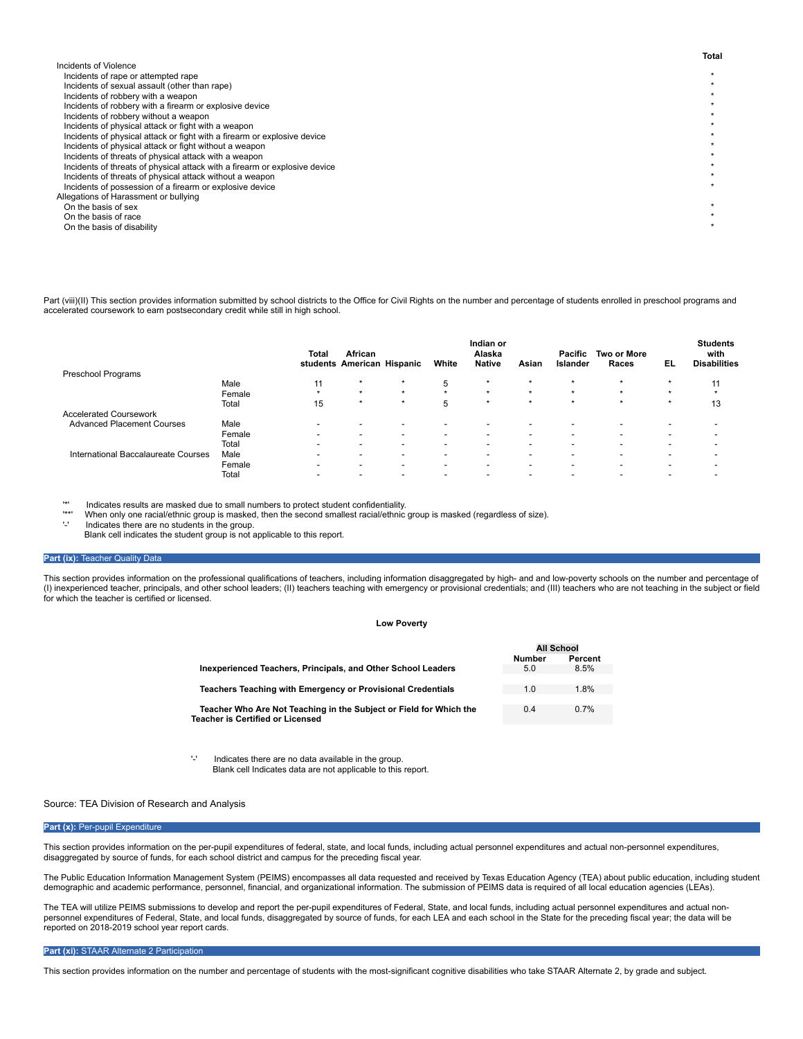| Incidents of Violence                                                      |  |
|----------------------------------------------------------------------------|--|
| Incidents of rape or attempted rape                                        |  |
| Incidents of sexual assault (other than rape)                              |  |
| Incidents of robbery with a weapon                                         |  |
| Incidents of robbery with a firearm or explosive device                    |  |
| Incidents of robbery without a weapon                                      |  |
| Incidents of physical attack or fight with a weapon                        |  |
| Incidents of physical attack or fight with a firearm or explosive device   |  |
| Incidents of physical attack or fight without a weapon                     |  |
| Incidents of threats of physical attack with a weapon                      |  |
| Incidents of threats of physical attack with a firearm or explosive device |  |
| Incidents of threats of physical attack without a weapon                   |  |
| Incidents of possession of a firearm or explosive device                   |  |
| Allegations of Harassment or bullying                                      |  |
| On the basis of sex                                                        |  |
| On the basis of race                                                       |  |
| On the basis of disability                                                 |  |
|                                                                            |  |

Part (viii)(II) This section provides information submitted by school districts to the Office for Civil Rights on the number and percentage of students enrolled in preschool programs and accelerated coursework to earn postsecondary credit while still in high school.

| Preschool Programs                  |        | Total                    | African<br>students American Hispanic |                          | White                    | Indian or<br>Alaska<br><b>Native</b> | Asian                    | Pacific<br>Islander      | <b>Two or More</b><br>Races | EL.     | <b>Students</b><br>with<br><b>Disabilities</b> |
|-------------------------------------|--------|--------------------------|---------------------------------------|--------------------------|--------------------------|--------------------------------------|--------------------------|--------------------------|-----------------------------|---------|------------------------------------------------|
|                                     | Male   | 11                       | $\star$                               | $\star$                  | 5                        | $\star$                              | $\star$                  | $\star$                  | $\star$                     | $\star$ | 11                                             |
|                                     | Female | $\star$                  | $\star$                               | $\star$                  | $\star$                  | $\star$                              | $\star$                  | $\star$                  | $\star$                     | $\star$ | $\star$                                        |
|                                     | Total  | 15                       | $\star$                               | $\star$                  | 5                        | $\star$                              | $\star$                  | $\star$                  | $\star$                     | $\star$ | 13                                             |
| <b>Accelerated Coursework</b>       |        |                          |                                       |                          |                          |                                      |                          |                          |                             |         |                                                |
| <b>Advanced Placement Courses</b>   | Male   | $\overline{\phantom{a}}$ | -                                     | $\overline{\phantom{0}}$ | $\overline{\phantom{a}}$ | ۰.                                   | $\,$                     | $\overline{\phantom{0}}$ | -                           | $\sim$  |                                                |
|                                     | Female | $\sim$                   | -                                     | $\overline{\phantom{0}}$ | $\overline{\phantom{a}}$ | ۰.                                   | $\overline{\phantom{0}}$ | $\overline{\phantom{0}}$ | -                           |         |                                                |
|                                     | Total  | $\sim$                   | $\overline{\phantom{a}}$              | $\overline{\phantom{0}}$ | $\overline{\phantom{a}}$ | ۰.                                   | $\,$                     | $\overline{\phantom{0}}$ | -                           | $\sim$  |                                                |
| International Baccalaureate Courses | Male   | $\overline{\phantom{a}}$ | -                                     | $\overline{\phantom{0}}$ | $\overline{\phantom{a}}$ | $\overline{\phantom{0}}$             | $\,$                     |                          | $\overline{\phantom{a}}$    |         |                                                |
|                                     | Female | $\overline{\phantom{a}}$ |                                       | $\overline{\phantom{0}}$ | $\overline{\phantom{0}}$ | ۰.                                   | $\,$                     | $\overline{\phantom{a}}$ | $\overline{\phantom{0}}$    | $\sim$  |                                                |
|                                     | Total  | $\overline{\phantom{a}}$ |                                       |                          |                          |                                      |                          |                          |                             |         |                                                |

'\*' Indicates results are masked due to small numbers to protect student confidentiality.

'\*\*' When only one racial/ethnic group is masked, then the second smallest racial/ethnic group is masked (regardless of size).

Indicates there are no students in the group.

Blank cell indicates the student group is not applicable to this report.

### **Part (ix): Teacher Quality Data**

This section provides information on the professional qualifications of teachers, including information disaggregated by high- and and low-poverty schools on the number and percentage of (I) inexperienced teacher, principals, and other school leaders; (II) teachers teaching with emergency or provisional credentials; and (III) teachers who are not teaching in the subject or field for which the teacher is certified or licensed.

#### **Low Poverty**

|                                                                                                               | <b>All School</b> |         |
|---------------------------------------------------------------------------------------------------------------|-------------------|---------|
|                                                                                                               | <b>Number</b>     | Percent |
| Inexperienced Teachers, Principals, and Other School Leaders                                                  | 5.0               | 8.5%    |
|                                                                                                               |                   |         |
| Teachers Teaching with Emergency or Provisional Credentials                                                   | 1.0               | 1.8%    |
|                                                                                                               |                   |         |
| Teacher Who Are Not Teaching in the Subject or Field for Which the<br><b>Teacher is Certified or Licensed</b> | 0.4               | 0.7%    |
|                                                                                                               |                   |         |

'-' Indicates there are no data available in the group. Blank cell Indicates data are not applicable to this report.

### Source: TEA Division of Research and Analysis

#### Part (x): Per-pupil Expenditure

This section provides information on the per-pupil expenditures of federal, state, and local funds, including actual personnel expenditures and actual non-personnel expenditures, disaggregated by source of funds, for each school district and campus for the preceding fiscal year.

The Public Education Information Management System (PEIMS) encompasses all data requested and received by Texas Education Agency (TEA) about public education, including student demographic and academic performance, personnel, financial, and organizational information. The submission of PEIMS data is required of all local education agencies (LEAs).

The TEA will utilize PEIMS submissions to develop and report the per-pupil expenditures of Federal, State, and local funds, including actual personnel expenditures and actual nonpersonnel expenditures of Federal, State, and local funds, disaggregated by source of funds, for each LEA and each school in the State for the preceding fiscal year; the data will be reported on 2018-2019 school year report cards.

### **Part (xi):** STAAR Alternate 2 Participation

This section provides information on the number and percentage of students with the most-significant cognitive disabilities who take STAAR Alternate 2, by grade and subject.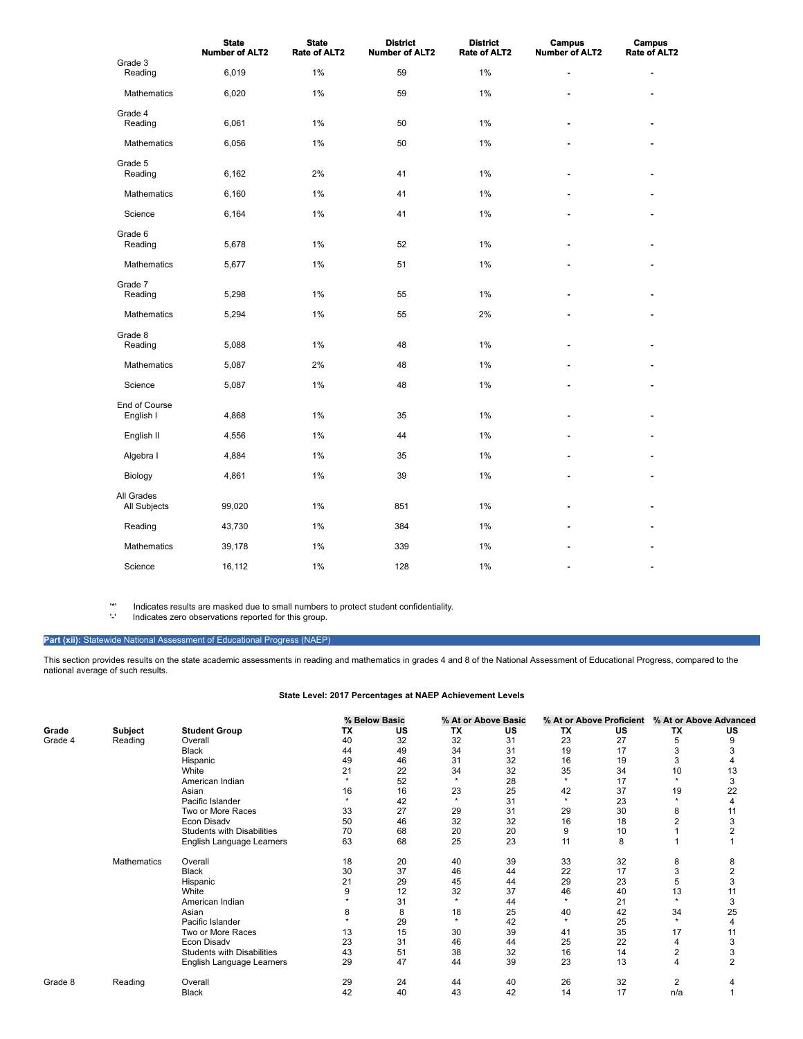|                            | <b>State</b><br><b>Number of ALT2</b> | <b>State</b><br><b>Rate of ALT2</b> | <b>District</b><br><b>Number of ALT2</b> | <b>District</b><br><b>Rate of ALT2</b> | <b>Campus</b><br><b>Number of ALT2</b> | Campus<br><b>Rate of ALT2</b> |
|----------------------------|---------------------------------------|-------------------------------------|------------------------------------------|----------------------------------------|----------------------------------------|-------------------------------|
| Grade 3<br>Reading         | 6,019                                 | 1%                                  | 59                                       | 1%                                     | $\overline{a}$                         | ٠                             |
| Mathematics                | 6,020                                 | 1%                                  | 59                                       | 1%                                     |                                        |                               |
| Grade 4<br>Reading         | 6,061                                 | 1%                                  | 50                                       | $1\%$                                  |                                        |                               |
| Mathematics                | 6,056                                 | 1%                                  | 50                                       | 1%                                     |                                        |                               |
| Grade 5<br>Reading         | 6,162                                 | 2%                                  | 41                                       | 1%                                     | $\overline{a}$                         |                               |
| Mathematics                | 6,160                                 | 1%                                  | 41                                       | 1%                                     |                                        |                               |
| Science                    | 6,164                                 | 1%                                  | 41                                       | 1%                                     | $\blacksquare$                         | $\blacksquare$                |
| Grade 6<br>Reading         | 5,678                                 | 1%                                  | 52                                       | 1%                                     | ٠                                      |                               |
| Mathematics                | 5,677                                 | 1%                                  | 51                                       | 1%                                     |                                        |                               |
| Grade 7<br>Reading         | 5,298                                 | 1%                                  | 55                                       | 1%                                     |                                        |                               |
| Mathematics                | 5,294                                 | 1%                                  | 55                                       | 2%                                     | $\overline{a}$                         | $\blacksquare$                |
| Grade 8<br>Reading         | 5,088                                 | 1%                                  | 48                                       | 1%                                     |                                        |                               |
| <b>Mathematics</b>         | 5,087                                 | 2%                                  | 48                                       | $1\%$                                  |                                        |                               |
| Science                    | 5,087                                 | 1%                                  | 48                                       | $1\%$                                  | ä,                                     | ä,                            |
| End of Course<br>English I | 4,868                                 | 1%                                  | 35                                       | 1%                                     | $\blacksquare$                         | ٠                             |
| English II                 | 4,556                                 | 1%                                  | 44                                       | 1%                                     |                                        |                               |
| Algebra I                  | 4,884                                 | 1%                                  | 35                                       | 1%                                     |                                        |                               |
| Biology                    | 4,861                                 | 1%                                  | 39                                       | 1%                                     | $\overline{a}$                         |                               |
| All Grades<br>All Subjects | 99,020                                | 1%                                  | 851                                      | $1\%$                                  | ٠                                      |                               |
| Reading                    | 43,730                                | 1%                                  | 384                                      | 1%                                     |                                        |                               |
| Mathematics                | 39,178                                | 1%                                  | 339                                      | 1%                                     |                                        |                               |
| Science                    | 16,112                                | 1%                                  | 128                                      | 1%                                     | ٠                                      | ٠                             |

'\*' Indicates results are masked due to small numbers to protect student confidentiality.

Indicates zero observations reported for this group.

### Part (xii): Statewide National Assessment of Educational Progress (NAEP)

This section provides results on the state academic assessments in reading and mathematics in grades 4 and 8 of the National Assessment of Educational Progress, compared to the national average of such results.

## **State Level: 2017 Percentages at NAEP Achievement Levels**

|         |                    |                                   |         | % Below Basic |           | % At or Above Basic |           | % At or Above Proficient |                | % At or Above Advanced |
|---------|--------------------|-----------------------------------|---------|---------------|-----------|---------------------|-----------|--------------------------|----------------|------------------------|
| Grade   | Subject            | <b>Student Group</b>              | ТX      | US            | <b>TX</b> | US                  | <b>TX</b> | US                       | ТX             | US                     |
| Grade 4 | Reading            | Overall                           | 40      | 32            | 32        | 31                  | 23        | 27                       | 5              | 9                      |
|         |                    | <b>Black</b>                      | 44      | 49            | 34        | 31                  | 19        | 17                       | 3              |                        |
|         |                    | Hispanic                          | 49      | 46            | 31        | 32                  | 16        | 19                       | 3              |                        |
|         |                    | White                             | 21      | 22            | 34        | 32                  | 35        | 34                       | 10             | 13                     |
|         |                    | American Indian                   | $\star$ | 52            | $\star$   | 28                  | $\star$   | 17                       | $\star$        | 3                      |
|         |                    | Asian                             | 16      | 16            | 23        | 25                  | 42        | 37                       | 19             | 22                     |
|         |                    | Pacific Islander                  | ٠       | 42            | $\star$   | 31                  | $\star$   | 23                       | $\ddot{}$      | 4                      |
|         |                    | Two or More Races                 | 33      | 27            | 29        | 31                  | 29        | 30                       | 8              | 11                     |
|         |                    | Econ Disadv                       | 50      | 46            | 32        | 32                  | 16        | 18                       | 2              | 3                      |
|         |                    | <b>Students with Disabilities</b> | 70      | 68            | 20        | 20                  | 9         | 10                       |                | $\overline{2}$         |
|         |                    | English Language Learners         | 63      | 68            | 25        | 23                  | 11        | 8                        |                |                        |
|         | <b>Mathematics</b> | Overall                           | 18      | 20            | 40        | 39                  | 33        | 32                       | 8              | 8                      |
|         |                    | <b>Black</b>                      | 30      | 37            | 46        | 44                  | 22        | 17                       | 3              | 2                      |
|         |                    | Hispanic                          | 21      | 29            | 45        | 44                  | 29        | 23                       | 5              | 3                      |
|         |                    | White                             | 9       | 12            | 32        | 37                  | 46        | 40                       | 13             | 11                     |
|         |                    | American Indian                   |         | 31            | ÷         | 44                  | $\star$   | 21                       | $\star$        | 3                      |
|         |                    | Asian                             | 8       | 8             | 18        | 25                  | 40        | 42                       | 34             | 25                     |
|         |                    | Pacific Islander                  |         | 29            | ÷         | 42                  | $\star$   | 25                       | $\star$        |                        |
|         |                    | Two or More Races                 | 13      | 15            | 30        | 39                  | 41        | 35                       | 17             | 11                     |
|         |                    | Econ Disadv                       | 23      | 31            | 46        | 44                  | 25        | 22                       | $\overline{4}$ | 3                      |
|         |                    | <b>Students with Disabilities</b> | 43      | 51            | 38        | 32                  | 16        | 14                       | $\overline{2}$ | 3                      |
|         |                    | English Language Learners         | 29      | 47            | 44        | 39                  | 23        | 13                       | $\overline{4}$ | $\overline{2}$         |
| Grade 8 | Reading            | Overall                           | 29      | 24            | 44        | 40                  | 26        | 32                       | $\overline{2}$ |                        |
|         |                    | <b>Black</b>                      | 42      | 40            | 43        | 42                  | 14        | 17                       | n/a            |                        |